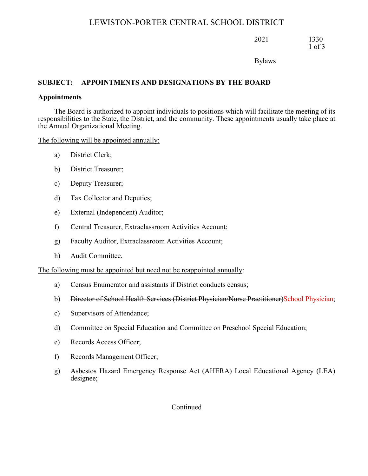2021 1330 1 of 3

Bylaws

#### **SUBJECT: APPOINTMENTS AND DESIGNATIONS BY THE BOARD**

#### **Appointments**

The Board is authorized to appoint individuals to positions which will facilitate the meeting of its responsibilities to the State, the District, and the community. These appointments usually take place at the Annual Organizational Meeting.

The following will be appointed annually:

- a) District Clerk;
- b) District Treasurer;
- c) Deputy Treasurer;
- d) Tax Collector and Deputies;
- e) External (Independent) Auditor;
- f) Central Treasurer, Extraclassroom Activities Account;
- g) Faculty Auditor, Extraclassroom Activities Account;
- h) Audit Committee.

The following must be appointed but need not be reappointed annually:

- a) Census Enumerator and assistants if District conducts census;
- b) Director of School Health Services (District Physician/Nurse Practitioner)School Physician;
- c) Supervisors of Attendance;
- d) Committee on Special Education and Committee on Preschool Special Education;
- e) Records Access Officer;
- f) Records Management Officer;
- g) Asbestos Hazard Emergency Response Act (AHERA) Local Educational Agency (LEA) designee;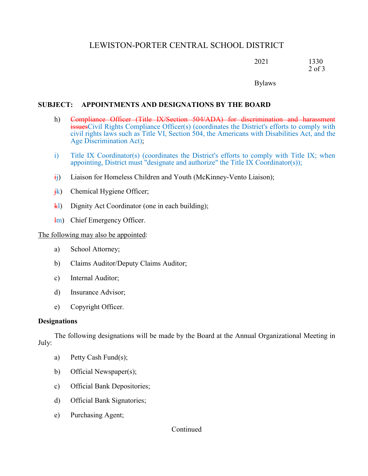2021 1330 2 of 3

Bylaws

#### **SUBJECT: APPOINTMENTS AND DESIGNATIONS BY THE BOARD**

- h) Compliance Officer (Title IX/Section 504/ADA) for discrimination and harassment issuesCivil Rights Compliance Officer(s) (coordinates the District's efforts to comply with civil rights laws such as Title VI, Section 504, the Americans with Disabilities Act, and the Age Discrimination Act);
- i) Title IX Coordinator(s) (coordinates the District's efforts to comply with Title IX; when appointing, District must "designate and authorize" the Title IX Coordinator(s));
- $\ddot{i}$ ) Liaison for Homeless Children and Youth (McKinney-Vento Liaison);
- $\frac{ik}{ }$  Chemical Hygiene Officer;
- $k$ l) Dignity Act Coordinator (one in each building);
- lm) Chief Emergency Officer.

The following may also be appointed:

- a) School Attorney;
- b) Claims Auditor/Deputy Claims Auditor;
- c) Internal Auditor;
- d) Insurance Advisor;
- e) Copyright Officer.

#### **Designations**

The following designations will be made by the Board at the Annual Organizational Meeting in July:

- a) Petty Cash Fund(s);
- b) Official Newspaper(s);
- c) Official Bank Depositories;
- d) Official Bank Signatories;
- e) Purchasing Agent;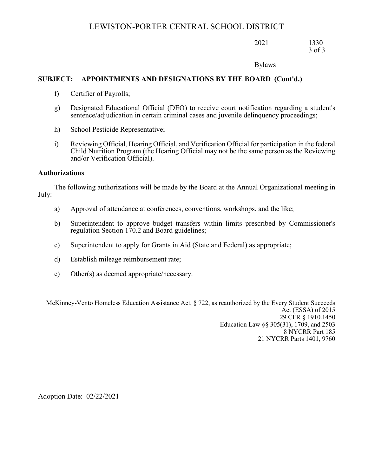2021 1330 3 of 3

Bylaws

#### **SUBJECT: APPOINTMENTS AND DESIGNATIONS BY THE BOARD (Cont'd.)**

- f) Certifier of Payrolls;
- g) Designated Educational Official (DEO) to receive court notification regarding a student's sentence/adjudication in certain criminal cases and juvenile delinquency proceedings;
- h) School Pesticide Representative;
- i) Reviewing Official, Hearing Official, and Verification Official for participation in the federal Child Nutrition Program (the Hearing Official may not be the same person as the Reviewing and/or Verification Official).

#### **Authorizations**

The following authorizations will be made by the Board at the Annual Organizational meeting in July:

- a) Approval of attendance at conferences, conventions, workshops, and the like;
- b) Superintendent to approve budget transfers within limits prescribed by Commissioner's regulation Section 170.2 and Board guidelines;
- c) Superintendent to apply for Grants in Aid (State and Federal) as appropriate;
- d) Establish mileage reimbursement rate;
- e) Other(s) as deemed appropriate/necessary.

McKinney-Vento Homeless Education Assistance Act, § 722, as reauthorized by the Every Student Succeeds Act (ESSA) of 2015 29 CFR § 1910.1450 Education Law §§ 305(31), 1709, and 2503 8 NYCRR Part 185 21 NYCRR Parts 1401, 9760

Adoption Date: 02/22/2021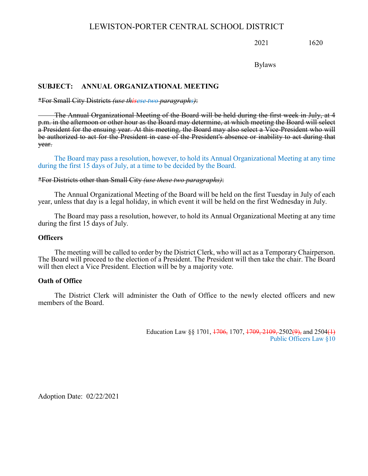2021 1620

Bylaws

#### **SUBJECT: ANNUAL ORGANIZATIONAL MEETING**

#### \*For Small City Districts *(use thisese two paragraphs)*:

The Annual Organizational Meeting of the Board will be held during the first week in July, at 4 p.m. in the afternoon or other hour as the Board may determine, at which meeting the Board will select a President for the ensuing year. At this meeting, the Board may also select a Vice-President who will be authorized to act for the President in case of the President's absence or inability to act during that year.

The Board may pass a resolution, however, to hold its Annual Organizational Meeting at any time during the first 15 days of July, at a time to be decided by the Board.

#### \*For Districts other than Small City *(use these two paragraphs)*:

The Annual Organizational Meeting of the Board will be held on the first Tuesday in July of each year, unless that day is a legal holiday, in which event it will be held on the first Wednesday in July.

The Board may pass a resolution, however, to hold its Annual Organizational Meeting at any time during the first 15 days of July.

#### **Officers**

The meeting will be called to order by the District Clerk, who will act as a Temporary Chairperson. The Board will proceed to the election of a President. The President will then take the chair. The Board will then elect a Vice President. Election will be by a majority vote.

#### **Oath of Office**

The District Clerk will administer the Oath of Office to the newly elected officers and new members of the Board.

> Education Law §§ 1701,  $\frac{1706}{1707}$ ,  $\frac{1709}{2109}$ , 2502(9), and 2504(1) Public Officers Law §10

Adoption Date: 02/22/2021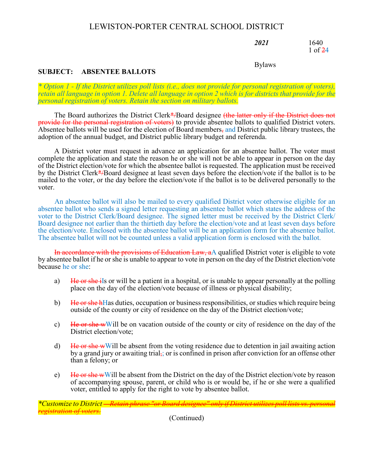*2021* 1640 1 of 24

#### Bylaws

#### **SUBJECT: ABSENTEE BALLOTS**

*\* Option 1 - If the District utilizes poll lists (i.e., does not provide for personal registration of voters), retain all language in option 1. Delete all language in option 2 which is for districts that provide for the personal registration of voters. Retain the section on military ballots.*

The Board authorizes the District Clerk\*/Board designee (the latter only if the District does not provide for the personal registration of voters) to provide absentee ballots to qualified District voters. Absentee ballots will be used for the election of Board members, and District public library trustees, the adoption of the annual budget, and District public library budget and referenda.

A District voter must request in advance an application for an absentee ballot. The voter must complete the application and state the reason he or she will not be able to appear in person on the day of the District election/vote for which the absentee ballot is requested. The application must be received by the District Clerk\*/Board designee at least seven days before the election/vote if the ballot is to be mailed to the voter, or the day before the election/vote if the ballot is to be delivered personally to the voter.

An absentee ballot will also be mailed to every qualified District voter otherwise eligible for an absentee ballot who sends a signed letter requesting an absentee ballot which states the address of the voter to the District Clerk/Board designee. The signed letter must be received by the District Clerk/ Board designee not earlier than the thirtieth day before the election/vote and at least seven days before the election/vote. Enclosed with the absentee ballot will be an application form for the absentee ballot. The absentee ballot will not be counted unless a valid application form is enclosed with the ballot.

In accordance with the provisions of Education Law, aA qualified District voter is eligible to vote by absentee ballot if he or she is unable to appear to vote in person on the day of the District election/vote because he or she:

- a) He or she ills or will be a patient in a hospital, or is unable to appear personally at the polling place on the day of the election/vote because of illness or physical disability;
- b)  $\overline{He}$  or she hHas duties, occupation or business responsibilities, or studies which require being outside of the county or city of residence on the day of the District election/vote;
- c) He or she wWill be on vacation outside of the county or city of residence on the day of the District election/vote;
- d) He or she wWill be absent from the voting residence due to detention in jail awaiting action by a grand jury or awaiting trial, or is confined in prison after conviction for an offense other than a felony; or
- e) He or she wWill be absent from the District on the day of the District election/vote by reason of accompanying spouse, parent, or child who is or would be, if he or she were a qualified voter, entitled to apply for the right to vote by absentee ballot.

*\*Customize to District -- Retain phrase "or Board designee" only if District utilizes poll lists vs. personal registration of voters.*

(Continued)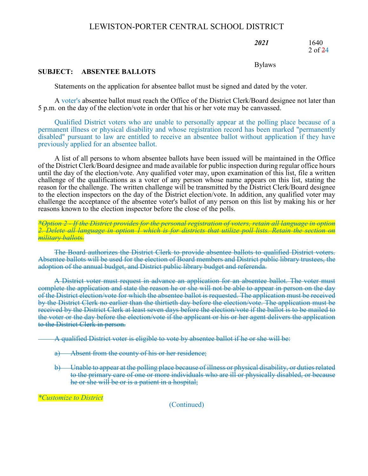*2021* 1640 2 of 24

Bylaws

#### **SUBJECT: ABSENTEE BALLOTS**

Statements on the application for absentee ballot must be signed and dated by the voter.

A voter's absentee ballot must reach the Office of the District Clerk/Board designee not later than 5 p.m. on the day of the election/vote in order that his or her vote may be canvassed.

Qualified District voters who are unable to personally appear at the polling place because of a permanent illness or physical disability and whose registration record has been marked "permanently disabled" pursuant to law are entitled to receive an absentee ballot without application if they have previously applied for an absentee ballot.

A list of all persons to whom absentee ballots have been issued will be maintained in the Office of the District Clerk/Board designee and made available for public inspection during regular office hours until the day of the election/vote. Any qualified voter may, upon examination of this list, file a written challenge of the qualifications as a voter of any person whose name appears on this list, stating the reason for the challenge. The written challenge will be transmitted by the District Clerk/Board designee to the election inspectors on the day of the District election/vote. In addition, any qualified voter may challenge the acceptance of the absentee voter's ballot of any person on this list by making his or her reasons known to the election inspector before the close of the polls.

*\*Option 2 - If the District provides for the personal registration of voters, retain all language in option 2. Delete all language in option 1 which is for districts that utilize poll lists. Retain the section on military ballots.*

The Board authorizes the District Clerk to provide absentee ballots to qualified District voters. Absentee ballots will be used for the election of Board members and District public library trustees, the adoption of the annual budget, and District public library budget and referenda.

A District voter must request in advance an application for an absentee ballot. The voter must complete the application and state the reason he or she will not be able to appear in person on the day of the District election/vote for which the absentee ballot is requested. The application must be received by the District Clerk no earlier than the thirtieth day before the election/vote. The application must be received by the District Clerk at least seven days before the election/vote if the ballot is to be mailed to the voter or the day before the election/vote if the applicant or his or her agent delivers the application to the District Clerk in person.

A qualified District voter is eligible to vote by absentee ballot if he or she will be:

- Absent from the county of his or her residence;
- b) Unable to appear at the polling place because of illness or physical disability, or duties related to the primary care of one or more individuals who are ill or physically disabled, or because he or she will be or is a patient in a hospital;

*\*Customize to District*

(Continued)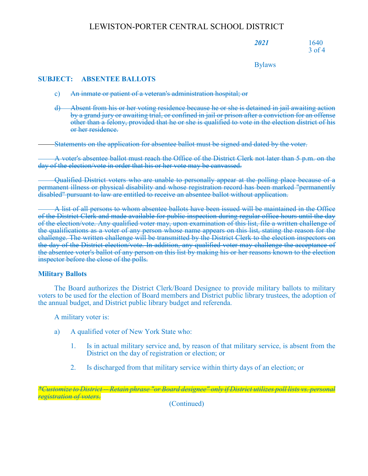*2021* 1640 3 of 4

Bylaws

#### **SUBJECT: ABSENTEE BALLOTS**

- c) An inmate or patient of a veteran's administration hospital; or
- d) Absent from his or her voting residence because he or she is detained in jail awaiting action by a grand jury or awaiting trial, or confined in jail or prison after a conviction for an offense other than a felony, provided that he or she is qualified to vote in the election district of his or her residence.

Statements on the application for absentee ballot must be signed and dated by the voter.

A voter's absentee ballot must reach the Office of the District Clerk not later than 5 p.m. on the day of the election/vote in order that his or her vote may be canvassed.

Qualified District voters who are unable to personally appear at the polling place because of a permanent illness or physical disability and whose registration record has been marked "permanently disabled" pursuant to law are entitled to receive an absentee ballot without application.

A list of all persons to whom absentee ballots have been issued will be maintained in the Office of the District Clerk and made available for public inspection during regular office hours until the day of the election/vote. Any qualified voter may, upon examination of this list, file a written challenge of the qualifications as a voter of any person whose name appears on this list, stating the reason for the challenge. The written challenge will be transmitted by the District Clerk to the election inspectors on the day of the District election/vote. In addition, any qualified voter may challenge the acceptance of the absentee voter's ballot of any person on this list by making his or her reasons known to the election inspector before the close of the polls.

#### **Military Ballots**

The Board authorizes the District Clerk/Board Designee to provide military ballots to military voters to be used for the election of Board members and District public library trustees, the adoption of the annual budget, and District public library budget and referenda.

A military voter is:

- a) A qualified voter of New York State who:
	- 1. Is in actual military service and, by reason of that military service, is absent from the District on the day of registration or election; or
	- 2. Is discharged from that military service within thirty days of an election; or

*\*Customize to District -- Retain phrase "or Board designee" only if District utilizes poll lists vs. personal registration of voters.*

(Continued)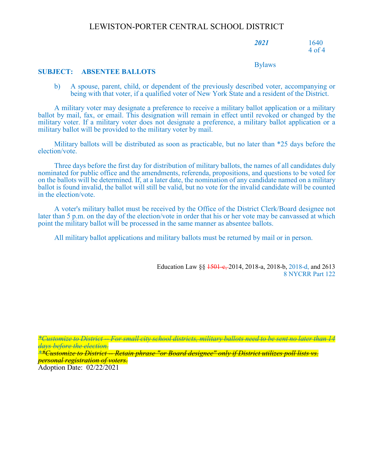*2021* 1640 4 of 4

#### Bylaws

#### **SUBJECT: ABSENTEE BALLOTS**

b) A spouse, parent, child, or dependent of the previously described voter, accompanying or being with that voter, if a qualified voter of New York State and a resident of the District.

A military voter may designate a preference to receive a military ballot application or a military ballot by mail, fax, or email. This designation will remain in effect until revoked or changed by the military voter. If a military voter does not designate a preference, a military ballot application or a military ballot will be provided to the military voter by mail.

Military ballots will be distributed as soon as practicable, but no later than \*25 days before the election/vote.

Three days before the first day for distribution of military ballots, the names of all candidates duly nominated for public office and the amendments, referenda, propositions, and questions to be voted for on the ballots will be determined. If, at a later date, the nomination of any candidate named on a military ballot is found invalid, the ballot will still be valid, but no vote for the invalid candidate will be counted in the election/vote.

A voter's military ballot must be received by the Office of the District Clerk/Board designee not later than 5 p.m. on the day of the election/vote in order that his or her vote may be canvassed at which point the military ballot will be processed in the same manner as absentee ballots.

All military ballot applications and military ballots must be returned by mail or in person.

Education Law §§ <del>1501-e, </del>2014, 2018-a, 2018-b, 2018-d, and 2613 8 NYCRR Part 122

*\*Customize to District* -- *For small city school districts, military ballots need to be sent no later than 14 days before the election.*

*\*\*Customize to District -- Retain phrase "or Board designee" only if District utilizes poll lists vs. personal registration of voters.*

Adoption Date: 02/22/2021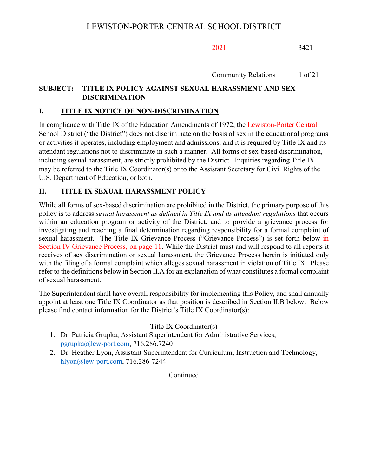Community Relations 1 of 21

# **SUBJECT: TITLE IX POLICY AGAINST SEXUAL HARASSMENT AND SEX DISCRIMINATION**

## **I. TITLE IX NOTICE OF NON-DISCRIMINATION**

In compliance with Title IX of the Education Amendments of 1972, the Lewiston-Porter Central School District ("the District") does not discriminate on the basis of sex in the educational programs or activities it operates, including employment and admissions, and it is required by Title IX and its attendant regulations not to discriminate in such a manner. All forms of sex-based discrimination, including sexual harassment, are strictly prohibited by the District. Inquiries regarding Title IX may be referred to the Title IX Coordinator(s) or to the Assistant Secretary for Civil Rights of the U.S. Department of Education, or both.

# **II. TITLE IX SEXUAL HARASSMENT POLICY**

While all forms of sex-based discrimination are prohibited in the District, the primary purpose of this policy is to address *sexual harassment as defined in Title IX and its attendant regulations* that occurs within an education program or activity of the District, and to provide a grievance process for investigating and reaching a final determination regarding responsibility for a formal complaint of sexual harassment. The Title IX Grievance Process ("Grievance Process") is set forth below in Section IV Grievance Process, on page 11. While the District must and will respond to all reports it receives of sex discrimination or sexual harassment, the Grievance Process herein is initiated only with the filing of a formal complaint which alleges sexual harassment in violation of Title IX. Please refer to the definitions below in Section II.A for an explanation of what constitutes a formal complaint of sexual harassment.

The Superintendent shall have overall responsibility for implementing this Policy, and shall annually appoint at least one Title IX Coordinator as that position is described in Section II.B below.Below please find contact information for the District's Title IX Coordinator(s):

Title IX Coordinator(s)

- 1. Dr. Patricia Grupka, Assistant Superintendent for Administrative Services, [pgrupka@lew-port.com,](mailto:pgrupka@lew-port.com) 716.286.7240
- 2. Dr. Heather Lyon, Assistant Superintendent for Curriculum, Instruction and Technology, [hlyon@lew-port.com,](mailto:hlyon@lew-port.com) 716.286-7244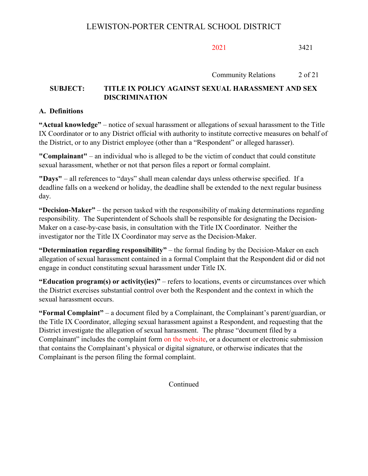## Community Relations 2 of 21

## **SUBJECT: TITLE IX POLICY AGAINST SEXUAL HARASSMENT AND SEX DISCRIMINATION**

## **A. Definitions**

**"Actual knowledge"** – notice of sexual harassment or allegations of sexual harassment to the Title IX Coordinator or to any District official with authority to institute corrective measures on behalf of the District, or to any District employee (other than a "Respondent" or alleged harasser).

**"Complainant"** – an individual who is alleged to be the victim of conduct that could constitute sexual harassment, whether or not that person files a report or formal complaint.

**"Days"** – all references to "days" shall mean calendar days unless otherwise specified. If a deadline falls on a weekend or holiday, the deadline shall be extended to the next regular business day.

**"Decision-Maker"** – the person tasked with the responsibility of making determinations regarding responsibility. The Superintendent of Schools shall be responsible for designating the Decision-Maker on a case-by-case basis, in consultation with the Title IX Coordinator. Neither the investigator nor the Title IX Coordinator may serve as the Decision-Maker.

**"Determination regarding responsibility"** – the formal finding by the Decision-Maker on each allegation of sexual harassment contained in a formal Complaint that the Respondent did or did not engage in conduct constituting sexual harassment under Title IX.

**"Education program(s) or activity(ies)"** – refers to locations, events or circumstances over which the District exercises substantial control over both the Respondent and the context in which the sexual harassment occurs.

**"Formal Complaint"** – a document filed by a Complainant, the Complainant's parent/guardian, or the Title IX Coordinator, alleging sexual harassment against a Respondent, and requesting that the District investigate the allegation of sexual harassment. The phrase "document filed by a Complainant" includes the complaint form on the website, or a document or electronic submission that contains the Complainant's physical or digital signature, or otherwise indicates that the Complainant is the person filing the formal complaint.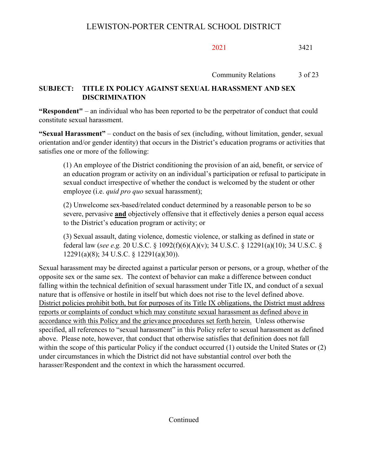Community Relations 3 of 23

# **SUBJECT: TITLE IX POLICY AGAINST SEXUAL HARASSMENT AND SEX DISCRIMINATION**

**"Respondent"** – an individual who has been reported to be the perpetrator of conduct that could constitute sexual harassment.

**"Sexual Harassment"** – conduct on the basis of sex (including, without limitation, gender, sexual orientation and/or gender identity) that occurs in the District's education programs or activities that satisfies one or more of the following:

(1) An employee of the District conditioning the provision of an aid, benefit, or service of an education program or activity on an individual's participation or refusal to participate in sexual conduct irrespective of whether the conduct is welcomed by the student or other employee (i.e. *quid pro quo* sexual harassment);

(2) Unwelcome sex-based/related conduct determined by a reasonable person to be so severe, pervasive **and** objectively offensive that it effectively denies a person equal access to the District's education program or activity; or

(3) Sexual assault, dating violence, domestic violence, or stalking as defined in state or federal law (*see e.g.* 20 U.S.C. § 1092(f)(6)(A)(v); 34 U.S.C. § 12291(a)(10); 34 U.S.C. § 12291(a)(8); 34 U.S.C. § 12291(a)(30)).

Sexual harassment may be directed against a particular person or persons, or a group, whether of the opposite sex or the same sex. The context of behavior can make a difference between conduct falling within the technical definition of sexual harassment under Title IX, and conduct of a sexual nature that is offensive or hostile in itself but which does not rise to the level defined above. District policies prohibit both, but for purposes of its Title IX obligations, the District must address reports or complaints of conduct which may constitute sexual harassment as defined above in accordance with this Policy and the grievance procedures set forth herein.Unless otherwise specified, all references to "sexual harassment" in this Policy refer to sexual harassment as defined above.Please note, however, that conduct that otherwise satisfies that definition does not fall within the scope of this particular Policy if the conduct occurred (1) outside the United States or (2) under circumstances in which the District did not have substantial control over both the harasser/Respondent and the context in which the harassment occurred.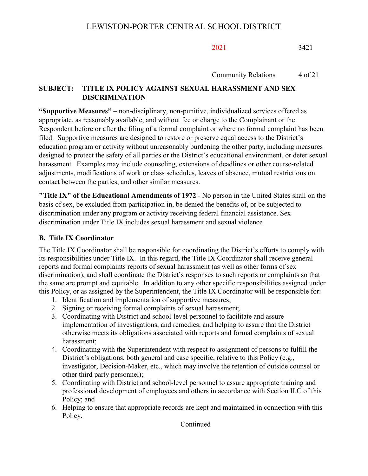Community Relations 4 of 21

# **SUBJECT: TITLE IX POLICY AGAINST SEXUAL HARASSMENT AND SEX DISCRIMINATION**

**"Supportive Measures"** – non-disciplinary, non-punitive, individualized services offered as appropriate, as reasonably available, and without fee or charge to the Complainant or the Respondent before or after the filing of a formal complaint or where no formal complaint has been filed. Supportive measures are designed to restore or preserve equal access to the District's education program or activity without unreasonably burdening the other party, including measures designed to protect the safety of all parties or the District's educational environment, or deter sexual harassment. Examples may include counseling, extensions of deadlines or other course-related adjustments, modifications of work or class schedules, leaves of absence, mutual restrictions on contact between the parties, and other similar measures.

**"Title IX" of the Educational Amendments of 1972** - No person in the United States shall on the basis of sex, be excluded from participation in, be denied the benefits of, or be subjected to discrimination under any program or activity receiving federal financial assistance. Sex discrimination under Title IX includes sexual harassment and sexual violence

# **B. Title IX Coordinator**

The Title IX Coordinator shall be responsible for coordinating the District's efforts to comply with its responsibilities under Title IX. In this regard, the Title IX Coordinator shall receive general reports and formal complaints reports of sexual harassment (as well as other forms of sex discrimination), and shall coordinate the District's responses to such reports or complaints so that the same are prompt and equitable. In addition to any other specific responsibilities assigned under this Policy, or as assigned by the Superintendent, the Title IX Coordinator will be responsible for:

- 1. Identification and implementation of supportive measures;
- 2. Signing or receiving formal complaints of sexual harassment;
- 3. Coordinating with District and school-level personnel to facilitate and assure implementation of investigations, and remedies, and helping to assure that the District otherwise meets its obligations associated with reports and formal complaints of sexual harassment;
- 4. Coordinating with the Superintendent with respect to assignment of persons to fulfill the District's obligations, both general and case specific, relative to this Policy (e.g., investigator, Decision-Maker, etc., which may involve the retention of outside counsel or other third party personnel);
- 5. Coordinating with District and school-level personnel to assure appropriate training and professional development of employees and others in accordance with Section II.C of this Policy; and
- 6. Helping to ensure that appropriate records are kept and maintained in connection with this Policy.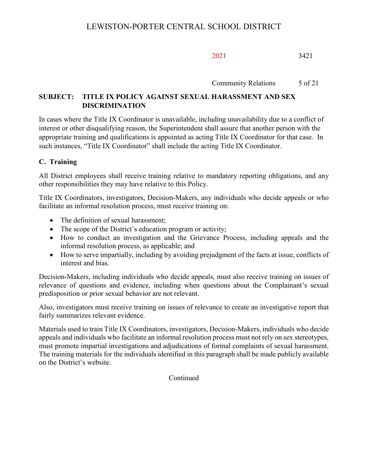Community Relations 5 of 21

# **SUBJECT: TITLE IX POLICY AGAINST SEXUAL HARASSMENT AND SEX DISCRIMINATION**

In cases where the Title IX Coordinator is unavailable, including unavailability due to a conflict of interest or other disqualifying reason, the Superintendent shall assure that another person with the appropriate training and qualifications is appointed as acting Title IX Coordinator for that case. In such instances, "Title IX Coordinator" shall include the acting Title IX Coordinator.

# **C. Training**

All District employees shall receive training relative to mandatory reporting obligations, and any other responsibilities they may have relative to this Policy.

Title IX Coordinators, investigators, Decision-Makers, any individuals who decide appeals or who facilitate an informal resolution process, must receive training on:

- The definition of sexual harassment:
- The scope of the District's education program or activity;
- How to conduct an investigation and the Grievance Process, including appeals and the informal resolution process, as applicable; and
- How to serve impartially, including by avoiding prejudgment of the facts at issue, conflicts of interest and bias.

Decision-Makers, including individuals who decide appeals, must also receive training on issues of relevance of questions and evidence, including when questions about the Complainant's sexual predisposition or prior sexual behavior are not relevant.

Also, investigators must receive training on issues of relevance to create an investigative report that fairly summarizes relevant evidence.

Materials used to train Title IX Coordinators, investigators, Decision-Makers, individuals who decide appeals and individuals who facilitate an informal resolution process must not rely on sex stereotypes, must promote impartial investigations and adjudications of formal complaints of sexual harassment. The training materials for the individuals identified in this paragraph shall be made publicly available on the District's website.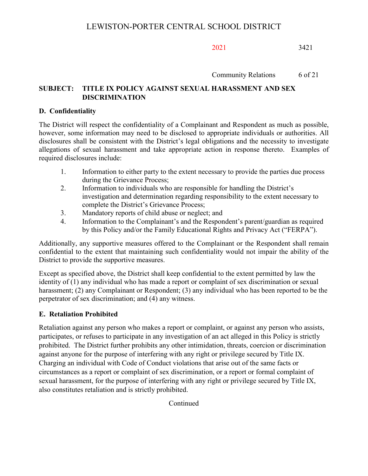Community Relations 6 of 21

# **SUBJECT: TITLE IX POLICY AGAINST SEXUAL HARASSMENT AND SEX DISCRIMINATION**

## **D. Confidentiality**

The District will respect the confidentiality of a Complainant and Respondent as much as possible, however, some information may need to be disclosed to appropriate individuals or authorities. All disclosures shall be consistent with the District's legal obligations and the necessity to investigate allegations of sexual harassment and take appropriate action in response thereto. Examples of required disclosures include:

- 1. Information to either party to the extent necessary to provide the parties due process during the Grievance Process;
- 2. Information to individuals who are responsible for handling the District's investigation and determination regarding responsibility to the extent necessary to complete the District's Grievance Process;
- 3. Mandatory reports of child abuse or neglect; and
- 4. Information to the Complainant's and the Respondent's parent/guardian as required by this Policy and/or the Family Educational Rights and Privacy Act ("FERPA").

Additionally, any supportive measures offered to the Complainant or the Respondent shall remain confidential to the extent that maintaining such confidentiality would not impair the ability of the District to provide the supportive measures.

Except as specified above, the District shall keep confidential to the extent permitted by law the identity of (1) any individual who has made a report or complaint of sex discrimination or sexual harassment; (2) any Complainant or Respondent; (3) any individual who has been reported to be the perpetrator of sex discrimination; and (4) any witness.

## **E. Retaliation Prohibited**

Retaliation against any person who makes a report or complaint, or against any person who assists, participates, or refuses to participate in any investigation of an act alleged in this Policy is strictly prohibited. The District further prohibits any other intimidation, threats, coercion or discrimination against anyone for the purpose of interfering with any right or privilege secured by Title IX. Charging an individual with Code of Conduct violations that arise out of the same facts or circumstances as a report or complaint of sex discrimination, or a report or formal complaint of sexual harassment, for the purpose of interfering with any right or privilege secured by Title IX, also constitutes retaliation and is strictly prohibited.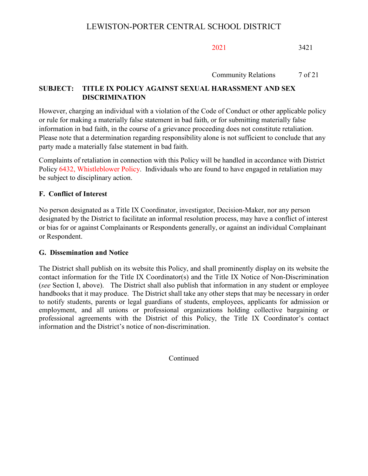Community Relations 7 of 21

# **SUBJECT: TITLE IX POLICY AGAINST SEXUAL HARASSMENT AND SEX DISCRIMINATION**

However, charging an individual with a violation of the Code of Conduct or other applicable policy or rule for making a materially false statement in bad faith, or for submitting materially false information in bad faith, in the course of a grievance proceeding does not constitute retaliation. Please note that a determination regarding responsibility alone is not sufficient to conclude that any party made a materially false statement in bad faith.

Complaints of retaliation in connection with this Policy will be handled in accordance with District Policy 6432, Whistleblower Policy. Individuals who are found to have engaged in retaliation may be subject to disciplinary action.

# **F. Conflict of Interest**

No person designated as a Title IX Coordinator, investigator, Decision-Maker, nor any person designated by the District to facilitate an informal resolution process, may have a conflict of interest or bias for or against Complainants or Respondents generally, or against an individual Complainant or Respondent.

## **G. Dissemination and Notice**

The District shall publish on its website this Policy, and shall prominently display on its website the contact information for the Title IX Coordinator(s) and the Title IX Notice of Non-Discrimination (*see* Section I, above). The District shall also publish that information in any student or employee handbooks that it may produce. The District shall take any other steps that may be necessary in order to notify students, parents or legal guardians of students, employees, applicants for admission or employment, and all unions or professional organizations holding collective bargaining or professional agreements with the District of this Policy, the Title IX Coordinator's contact information and the District's notice of non-discrimination.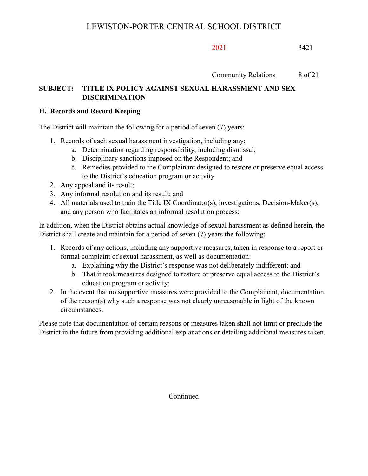Community Relations 8 of 21

# **SUBJECT: TITLE IX POLICY AGAINST SEXUAL HARASSMENT AND SEX DISCRIMINATION**

## **H. Records and Record Keeping**

The District will maintain the following for a period of seven (7) years:

- 1. Records of each sexual harassment investigation, including any:
	- a. Determination regarding responsibility, including dismissal;
	- b. Disciplinary sanctions imposed on the Respondent; and
	- c. Remedies provided to the Complainant designed to restore or preserve equal access to the District's education program or activity.
- 2. Any appeal and its result;
- 3. Any informal resolution and its result; and
- 4. All materials used to train the Title IX Coordinator(s), investigations, Decision-Maker(s), and any person who facilitates an informal resolution process;

In addition, when the District obtains actual knowledge of sexual harassment as defined herein, the District shall create and maintain for a period of seven (7) years the following:

- 1. Records of any actions, including any supportive measures, taken in response to a report or formal complaint of sexual harassment, as well as documentation:
	- a. Explaining why the District's response was not deliberately indifferent; and
	- b. That it took measures designed to restore or preserve equal access to the District's education program or activity;
- 2. In the event that no supportive measures were provided to the Complainant, documentation of the reason(s) why such a response was not clearly unreasonable in light of the known circumstances.

Please note that documentation of certain reasons or measures taken shall not limit or preclude the District in the future from providing additional explanations or detailing additional measures taken.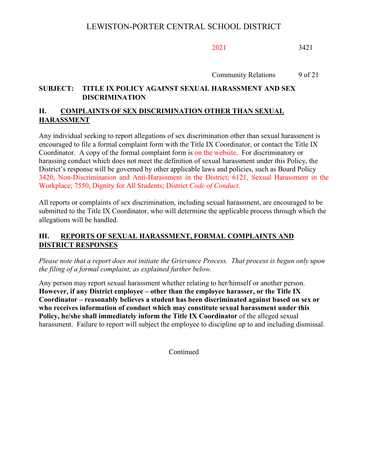Community Relations 9 of 21

# **SUBJECT: TITLE IX POLICY AGAINST SEXUAL HARASSMENT AND SEX DISCRIMINATION**

# **II. COMPLAINTS OF SEX DISCRIMINATION OTHER THAN SEXUAL HARASSMENT**

Any individual seeking to report allegations of sex discrimination other than sexual harassment is encouraged to file a formal complaint form with the Title IX Coordinator, or contact the Title IX Coordinator. A copy of the formal complaint form is on the website. For discriminatory or harassing conduct which does not meet the definition of sexual harassment under this Policy, the District's response will be governed by other applicable laws and policies, such as Board Policy 3420, Non-Discrimination and Anti-Harassment in the District; 6121, Sexual Harassment in the Workplace; 7550, Dignity for All Students; District *Code of Conduct.*

All reports or complaints of sex discrimination, including sexual harassment, are encouraged to be submitted to the Title IX Coordinator, who will determine the applicable process through which the allegations will be handled.

# **III. REPORTS OF SEXUAL HARASSMENT, FORMAL COMPLAINTS AND DISTRICT RESPONSES**

*Please note that a report does not initiate the Grievance Process. That process is begun only upon the filing of a formal complaint, as explained further below.* 

Any person may report sexual harassment whether relating to her/himself or another person. **However, if any District employee – other than the employee harasser, or the Title IX Coordinator – reasonably believes a student has been discriminated against based on sex or who receives information of conduct which may constitute sexual harassment under this Policy, he/she shall immediately inform the Title IX Coordinator** of the alleged sexual harassment. Failure to report will subject the employee to discipline up to and including dismissal.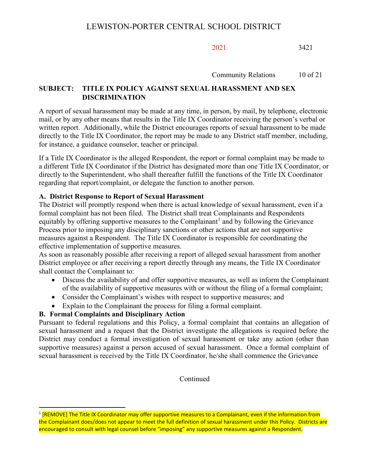Community Relations 10 of 21

# **SUBJECT: TITLE IX POLICY AGAINST SEXUAL HARASSMENT AND SEX DISCRIMINATION**

A report of sexual harassment may be made at any time, in person, by mail, by telephone, electronic mail, or by any other means that results in the Title IX Coordinator receiving the person's verbal or written report. Additionally, while the District encourages reports of sexual harassment to be made directly to the Title IX Coordinator, the report may be made to any District staff member, including, for instance, a guidance counselor, teacher or principal.

If a Title IX Coordinator is the alleged Respondent, the report or formal complaint may be made to a different Title IX Coordinator if the District has designated more than one Title IX Coordinator, or directly to the Superintendent, who shall thereafter fulfill the functions of the Title IX Coordinator regarding that report/complaint, or delegate the function to another person.

## **A. District Response to Report of Sexual Harassment**

The District will promptly respond when there is actual knowledge of sexual harassment, even if a formal complaint has not been filed. The District shall treat Complainants and Respondents equitably by offering supportive measures to the Complainant<sup>[1](#page-17-0)</sup> and by following the Grievance Process prior to imposing any disciplinary sanctions or other actions that are not supportive measures against a Respondent.The Title IX Coordinator is responsible for coordinating the effective implementation of supportive measures.

As soon as reasonably possible after receiving a report of alleged sexual harassment from another District employee or after receiving a report directly through any means, the Title IX Coordinator shall contact the Complainant to:

- Discuss the availability of and offer supportive measures, as well as inform the Complainant of the availability of supportive measures with or without the filing of a formal complaint;
- Consider the Complainant's wishes with respect to supportive measures; and
- Explain to the Complainant the process for filing a formal complaint.

# **B. Formal Complaints and Disciplinary Action**

Pursuant to federal regulations and this Policy, a formal complaint that contains an allegation of sexual harassment and a request that the District investigate the allegations is required before the District may conduct a formal investigation of sexual harassment or take any action (other than supportive measures) against a person accused of sexual harassment. Once a formal complaint of sexual harassment is received by the Title IX Coordinator, he/she shall commence the Grievance

<span id="page-17-0"></span><sup>&</sup>lt;sup>1</sup> [REMOVE] The Title IX Coordinator may offer supportive measures to a Complainant, even if the information from the Complainant does/does not appear to meet the full definition of sexual harassment under this Policy. Districts are encouraged to consult with legal counsel before "imposing" any supportive measures against a Respondent.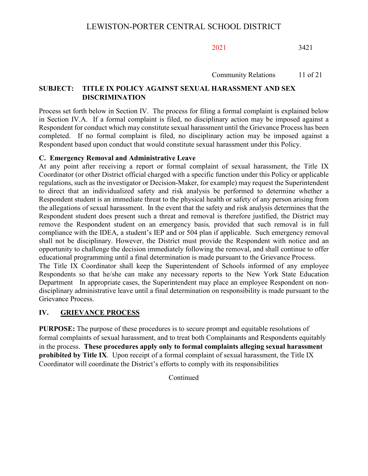Community Relations 11 of 21

## **SUBJECT: TITLE IX POLICY AGAINST SEXUAL HARASSMENT AND SEX DISCRIMINATION**

Process set forth below in Section IV. The process for filing a formal complaint is explained below in Section IV.A. If a formal complaint is filed, no disciplinary action may be imposed against a Respondent for conduct which may constitute sexual harassment until the Grievance Process has been completed. If no formal complaint is filed, no disciplinary action may be imposed against a Respondent based upon conduct that would constitute sexual harassment under this Policy.

### **C. Emergency Removal and Administrative Leave**

At any point after receiving a report or formal complaint of sexual harassment, the Title IX Coordinator (or other District official charged with a specific function under this Policy or applicable regulations, such as the investigator or Decision-Maker, for example) may request the Superintendent to direct that an individualized safety and risk analysis be performed to determine whether a Respondent student is an immediate threat to the physical health or safety of any person arising from the allegations of sexual harassment. In the event that the safety and risk analysis determines that the Respondent student does present such a threat and removal is therefore justified, the District may remove the Respondent student on an emergency basis*,* provided that such removal is in full compliance with the IDEA, a student's IEP and or 504 plan if applicable. Such emergency removal shall not be disciplinary. However, the District must provide the Respondent with notice and an opportunity to challenge the decision immediately following the removal, and shall continue to offer educational programming until a final determination is made pursuant to the Grievance Process.

The Title IX Coordinator shall keep the Superintendent of Schools informed of any employee Respondents so that he/she can make any necessary reports to the New York State Education Department In appropriate cases, the Superintendent may place an employee Respondent on nondisciplinary administrative leave until a final determination on responsibility is made pursuant to the Grievance Process.

## **IV. GRIEVANCE PROCESS**

**PURPOSE:** The purpose of these procedures is to secure prompt and equitable resolutions of formal complaints of sexual harassment, and to treat both Complainants and Respondents equitably in the process. **These procedures apply only to formal complaints alleging sexual harassment prohibited by Title IX**. Upon receipt of a formal complaint of sexual harassment, the Title IX Coordinator will coordinate the District's efforts to comply with its responsibilities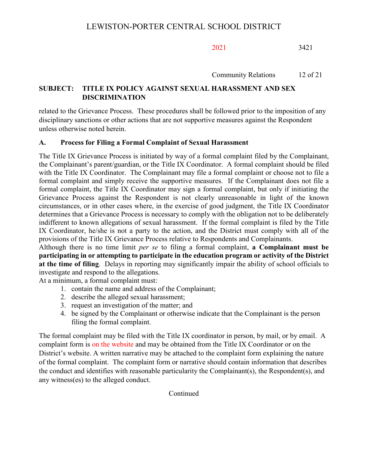Community Relations 12 of 21

# **SUBJECT: TITLE IX POLICY AGAINST SEXUAL HARASSMENT AND SEX DISCRIMINATION**

related to the Grievance Process. These procedures shall be followed prior to the imposition of any disciplinary sanctions or other actions that are not supportive measures against the Respondent unless otherwise noted herein.

## **A. Process for Filing a Formal Complaint of Sexual Harassment**

The Title IX Grievance Process is initiated by way of a formal complaint filed by the Complainant, the Complainant's parent/guardian, or the Title IX Coordinator. A formal complaint should be filed with the Title IX Coordinator. The Complainant may file a formal complaint or choose not to file a formal complaint and simply receive the supportive measures. If the Complainant does not file a formal complaint, the Title IX Coordinator may sign a formal complaint, but only if initiating the Grievance Process against the Respondent is not clearly unreasonable in light of the known circumstances, or in other cases where, in the exercise of good judgment, the Title IX Coordinator determines that a Grievance Process is necessary to comply with the obligation not to be deliberately indifferent to known allegations of sexual harassment. If the formal complaint is filed by the Title IX Coordinator, he/she is not a party to the action, and the District must comply with all of the provisions of the Title IX Grievance Process relative to Respondents and Complainants.

Although there is no time limit *per se* to filing a formal complaint, **a Complainant must be participating in or attempting to participate in the education program or activity of the District at the time of filing**. Delays in reporting may significantly impair the ability of school officials to investigate and respond to the allegations.

At a minimum, a formal complaint must:

- 1. contain the name and address of the Complainant;
- 2. describe the alleged sexual harassment;
- 3. request an investigation of the matter; and
- 4. be signed by the Complainant or otherwise indicate that the Complainant is the person filing the formal complaint.

The formal complaint may be filed with the Title IX coordinator in person, by mail, or by email. A complaint form is on the website and may be obtained from the Title IX Coordinator or on the District's website. A written narrative may be attached to the complaint form explaining the nature of the formal complaint. The complaint form or narrative should contain information that describes the conduct and identifies with reasonable particularity the Complainant(s), the Respondent(s), and any witness(es) to the alleged conduct.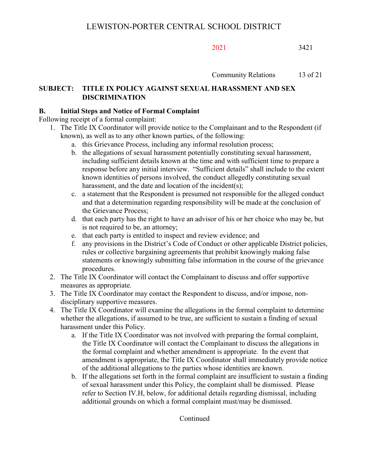Community Relations 13 of 21

# **SUBJECT: TITLE IX POLICY AGAINST SEXUAL HARASSMENT AND SEX DISCRIMINATION**

## **B. Initial Steps and Notice of Formal Complaint**

Following receipt of a formal complaint:

- 1. The Title IX Coordinator will provide notice to the Complainant and to the Respondent (if known), as well as to any other known parties, of the following:
	- a. this Grievance Process, including any informal resolution process;
	- b. the allegations of sexual harassment potentially constituting sexual harassment, including sufficient details known at the time and with sufficient time to prepare a response before any initial interview. "Sufficient details" shall include to the extent known identities of persons involved, the conduct allegedly constituting sexual harassment, and the date and location of the incident(s);
	- c. a statement that the Respondent is presumed not responsible for the alleged conduct and that a determination regarding responsibility will be made at the conclusion of the Grievance Process;
	- d. that each party has the right to have an advisor of his or her choice who may be, but is not required to be, an attorney;
	- e. that each party is entitled to inspect and review evidence; and
	- f. any provisions in the District's Code of Conduct or other applicable District policies, rules or collective bargaining agreements that prohibit knowingly making false statements or knowingly submitting false information in the course of the grievance procedures.
- 2. The Title IX Coordinator will contact the Complainant to discuss and offer supportive measures as appropriate.
- 3. The Title IX Coordinator may contact the Respondent to discuss, and/or impose, nondisciplinary supportive measures.
- 4. The Title IX Coordinator will examine the allegations in the formal complaint to determine whether the allegations, if assumed to be true, are sufficient to sustain a finding of sexual harassment under this Policy.
	- a. If the Title IX Coordinator was not involved with preparing the formal complaint, the Title IX Coordinator will contact the Complainant to discuss the allegations in the formal complaint and whether amendment is appropriate. In the event that amendment is appropriate, the Title IX Coordinator shall immediately provide notice of the additional allegations to the parties whose identities are known.
	- b. If the allegations set forth in the formal complaint are insufficient to sustain a finding of sexual harassment under this Policy, the complaint shall be dismissed. Please refer to Section IV.H, below, for additional details regarding dismissal, including additional grounds on which a formal complaint must/may be dismissed.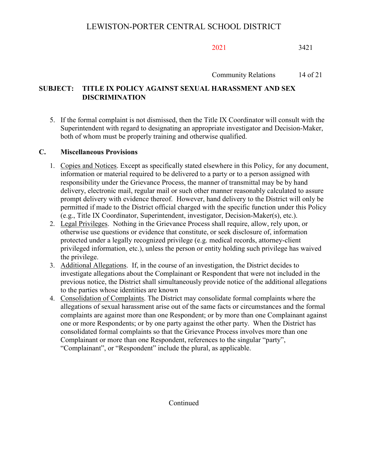Community Relations 14 of 21

# **SUBJECT: TITLE IX POLICY AGAINST SEXUAL HARASSMENT AND SEX DISCRIMINATION**

5. If the formal complaint is not dismissed, then the Title IX Coordinator will consult with the Superintendent with regard to designating an appropriate investigator and Decision-Maker, both of whom must be properly training and otherwise qualified.

## **C. Miscellaneous Provisions**

- 1. Copies and Notices. Except as specifically stated elsewhere in this Policy, for any document, information or material required to be delivered to a party or to a person assigned with responsibility under the Grievance Process, the manner of transmittal may be by hand delivery, electronic mail, regular mail or such other manner reasonably calculated to assure prompt delivery with evidence thereof. However, hand delivery to the District will only be permitted if made to the District official charged with the specific function under this Policy (e.g., Title IX Coordinator, Superintendent, investigator, Decision-Maker(s), etc.).
- 2. Legal Privileges. Nothing in the Grievance Process shall require, allow, rely upon, or otherwise use questions or evidence that constitute, or seek disclosure of, information protected under a legally recognized privilege (e.g. medical records, attorney-client privileged information, etc.), unless the person or entity holding such privilege has waived the privilege.
- 3. Additional Allegations. If, in the course of an investigation, the District decides to investigate allegations about the Complainant or Respondent that were not included in the previous notice, the District shall simultaneously provide notice of the additional allegations to the parties whose identities are known
- 4. Consolidation of Complaints. The District may consolidate formal complaints where the allegations of sexual harassment arise out of the same facts or circumstances and the formal complaints are against more than one Respondent; or by more than one Complainant against one or more Respondents; or by one party against the other party. When the District has consolidated formal complaints so that the Grievance Process involves more than one Complainant or more than one Respondent, references to the singular "party", "Complainant", or "Respondent" include the plural, as applicable.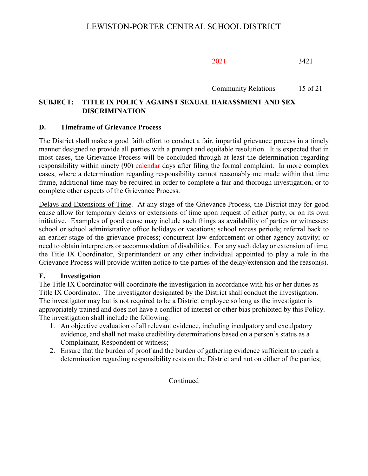Community Relations 15 of 21

# **SUBJECT: TITLE IX POLICY AGAINST SEXUAL HARASSMENT AND SEX DISCRIMINATION**

### **D. Timeframe of Grievance Process**

The District shall make a good faith effort to conduct a fair, impartial grievance process in a timely manner designed to provide all parties with a prompt and equitable resolution. It is expected that in most cases, the Grievance Process will be concluded through at least the determination regarding responsibility within ninety (90) calendar days after filing the formal complaint. In more complex cases, where a determination regarding responsibility cannot reasonably me made within that time frame, additional time may be required in order to complete a fair and thorough investigation, or to complete other aspects of the Grievance Process.

Delays and Extensions of Time. At any stage of the Grievance Process, the District may for good cause allow for temporary delays or extensions of time upon request of either party, or on its own initiative. Examples of good cause may include such things as availability of parties or witnesses; school or school administrative office holidays or vacations; school recess periods; referral back to an earlier stage of the grievance process; concurrent law enforcement or other agency activity; or need to obtain interpreters or accommodation of disabilities. For any such delay or extension of time, the Title IX Coordinator, Superintendent or any other individual appointed to play a role in the Grievance Process will provide written notice to the parties of the delay/extension and the reason(s).

#### **E. Investigation**

The Title IX Coordinator will coordinate the investigation in accordance with his or her duties as Title IX Coordinator. The investigator designated by the District shall conduct the investigation. The investigator may but is not required to be a District employee so long as the investigator is appropriately trained and does not have a conflict of interest or other bias prohibited by this Policy. The investigation shall include the following:

- 1. An objective evaluation of all relevant evidence, including inculpatory and exculpatory evidence, and shall not make credibility determinations based on a person's status as a Complainant, Respondent or witness;
- 2. Ensure that the burden of proof and the burden of gathering evidence sufficient to reach a determination regarding responsibility rests on the District and not on either of the parties;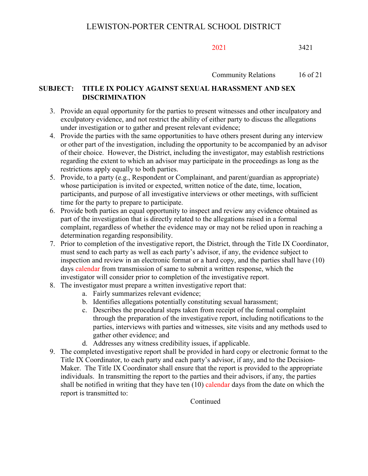Community Relations 16 of 21

# **SUBJECT: TITLE IX POLICY AGAINST SEXUAL HARASSMENT AND SEX DISCRIMINATION**

- 3. Provide an equal opportunity for the parties to present witnesses and other inculpatory and exculpatory evidence, and not restrict the ability of either party to discuss the allegations under investigation or to gather and present relevant evidence;
- 4. Provide the parties with the same opportunities to have others present during any interview or other part of the investigation, including the opportunity to be accompanied by an advisor of their choice. However, the District, including the investigator, may establish restrictions regarding the extent to which an advisor may participate in the proceedings as long as the restrictions apply equally to both parties.
- 5. Provide, to a party (e.g., Respondent or Complainant, and parent/guardian as appropriate) whose participation is invited or expected, written notice of the date, time, location, participants, and purpose of all investigative interviews or other meetings, with sufficient time for the party to prepare to participate.
- 6. Provide both parties an equal opportunity to inspect and review any evidence obtained as part of the investigation that is directly related to the allegations raised in a formal complaint, regardless of whether the evidence may or may not be relied upon in reaching a determination regarding responsibility.
- 7. Prior to completion of the investigative report, the District, through the Title IX Coordinator, must send to each party as well as each party's advisor, if any, the evidence subject to inspection and review in an electronic format or a hard copy, and the parties shall have (10) days calendar from transmission of same to submit a written response, which the investigator will consider prior to completion of the investigative report.
- 8. The investigator must prepare a written investigative report that:
	- a. Fairly summarizes relevant evidence;
	- b. Identifies allegations potentially constituting sexual harassment;
	- c. Describes the procedural steps taken from receipt of the formal complaint through the preparation of the investigative report, including notifications to the parties, interviews with parties and witnesses, site visits and any methods used to gather other evidence; and
	- d. Addresses any witness credibility issues, if applicable.
- 9. The completed investigative report shall be provided in hard copy or electronic format to the Title IX Coordinator, to each party and each party's advisor, if any, and to the Decision-Maker. The Title IX Coordinator shall ensure that the report is provided to the appropriate individuals. In transmitting the report to the parties and their advisors, if any, the parties shall be notified in writing that they have ten  $(10)$  calendar days from the date on which the report is transmitted to: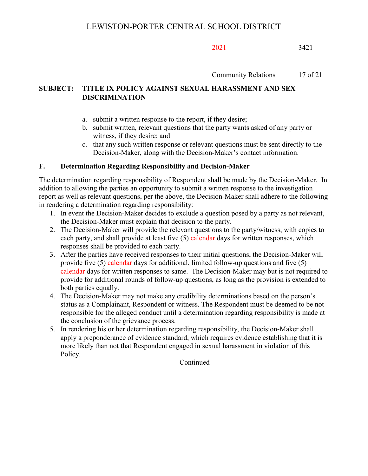Community Relations 17 of 21

# **SUBJECT: TITLE IX POLICY AGAINST SEXUAL HARASSMENT AND SEX DISCRIMINATION**

- a. submit a written response to the report, if they desire;
- b. submit written, relevant questions that the party wants asked of any party or witness, if they desire; and
- c. that any such written response or relevant questions must be sent directly to the Decision-Maker, along with the Decision-Maker's contact information.

# **F. Determination Regarding Responsibility and Decision-Maker**

The determination regarding responsibility of Respondent shall be made by the Decision-Maker. In addition to allowing the parties an opportunity to submit a written response to the investigation report as well as relevant questions, per the above, the Decision-Maker shall adhere to the following in rendering a determination regarding responsibility:

- 1. In event the Decision-Maker decides to exclude a question posed by a party as not relevant, the Decision-Maker must explain that decision to the party.
- 2. The Decision-Maker will provide the relevant questions to the party/witness, with copies to each party, and shall provide at least five (5) calendar days for written responses, which responses shall be provided to each party.
- 3. After the parties have received responses to their initial questions, the Decision-Maker will provide five (5) calendar days for additional, limited follow-up questions and five (5) calendar days for written responses to same. The Decision-Maker may but is not required to provide for additional rounds of follow-up questions, as long as the provision is extended to both parties equally.
- 4. The Decision-Maker may not make any credibility determinations based on the person's status as a Complainant, Respondent or witness. The Respondent must be deemed to be not responsible for the alleged conduct until a determination regarding responsibility is made at the conclusion of the grievance process.
- 5. In rendering his or her determination regarding responsibility, the Decision-Maker shall apply a preponderance of evidence standard, which requires evidence establishing that it is more likely than not that Respondent engaged in sexual harassment in violation of this Policy.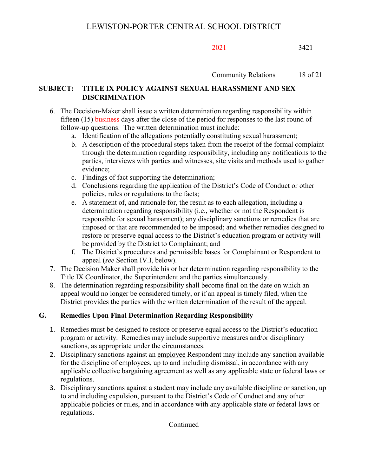Community Relations 18 of 21

# **SUBJECT: TITLE IX POLICY AGAINST SEXUAL HARASSMENT AND SEX DISCRIMINATION**

- 6. The Decision-Maker shall issue a written determination regarding responsibility within fifteen (15) business days after the close of the period for responses to the last round of follow-up questions. The written determination must include:
	- a. Identification of the allegations potentially constituting sexual harassment;
	- b. A description of the procedural steps taken from the receipt of the formal complaint through the determination regarding responsibility, including any notifications to the parties, interviews with parties and witnesses, site visits and methods used to gather evidence;
	- c. Findings of fact supporting the determination;
	- d. Conclusions regarding the application of the District's Code of Conduct or other policies, rules or regulations to the facts;
	- e. A statement of, and rationale for, the result as to each allegation, including a determination regarding responsibility (i.e., whether or not the Respondent is responsible for sexual harassment); any disciplinary sanctions or remedies that are imposed or that are recommended to be imposed; and whether remedies designed to restore or preserve equal access to the District's education program or activity will be provided by the District to Complainant; and
	- f. The District's procedures and permissible bases for Complainant or Respondent to appeal (*see* Section IV.I, below).
- 7. The Decision Maker shall provide his or her determination regarding responsibility to the Title IX Coordinator, the Superintendent and the parties simultaneously.
- 8. The determination regarding responsibility shall become final on the date on which an appeal would no longer be considered timely, or if an appeal is timely filed, when the District provides the parties with the written determination of the result of the appeal.

# **G. Remedies Upon Final Determination Regarding Responsibility**

- 1. Remedies must be designed to restore or preserve equal access to the District's education program or activity. Remedies may include supportive measures and/or disciplinary sanctions, as appropriate under the circumstances.
- 2. Disciplinary sanctions against an employee Respondent may include any sanction available for the discipline of employees, up to and including dismissal, in accordance with any applicable collective bargaining agreement as well as any applicable state or federal laws or regulations.
- 3. Disciplinary sanctions against a student may include any available discipline or sanction, up to and including expulsion, pursuant to the District's Code of Conduct and any other applicable policies or rules, and in accordance with any applicable state or federal laws or regulations.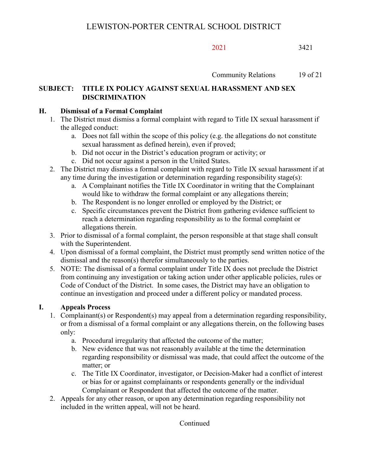Community Relations 19 of 21

# **SUBJECT: TITLE IX POLICY AGAINST SEXUAL HARASSMENT AND SEX DISCRIMINATION**

## **H. Dismissal of a Formal Complaint**

- 1. The District must dismiss a formal complaint with regard to Title IX sexual harassment if the alleged conduct:
	- a. Does not fall within the scope of this policy (e.g. the allegations do not constitute sexual harassment as defined herein), even if proved;
	- b. Did not occur in the District's education program or activity; or
	- c. Did not occur against a person in the United States.
- 2. The District may dismiss a formal complaint with regard to Title IX sexual harassment if at any time during the investigation or determination regarding responsibility stage(s):
	- a. A Complainant notifies the Title IX Coordinator in writing that the Complainant would like to withdraw the formal complaint or any allegations therein;
	- b. The Respondent is no longer enrolled or employed by the District; or
	- c. Specific circumstances prevent the District from gathering evidence sufficient to reach a determination regarding responsibility as to the formal complaint or allegations therein.
- 3. Prior to dismissal of a formal complaint, the person responsible at that stage shall consult with the Superintendent.
- 4. Upon dismissal of a formal complaint, the District must promptly send written notice of the dismissal and the reason(s) therefor simultaneously to the parties.
- 5. NOTE: The dismissal of a formal complaint under Title IX does not preclude the District from continuing any investigation or taking action under other applicable policies, rules or Code of Conduct of the District. In some cases, the District may have an obligation to continue an investigation and proceed under a different policy or mandated process.

# **I. Appeals Process**

- 1. Complainant(s) or Respondent(s) may appeal from a determination regarding responsibility, or from a dismissal of a formal complaint or any allegations therein, on the following bases only:
	- a. Procedural irregularity that affected the outcome of the matter;
	- b. New evidence that was not reasonably available at the time the determination regarding responsibility or dismissal was made, that could affect the outcome of the matter; or
	- c. The Title IX Coordinator, investigator, or Decision-Maker had a conflict of interest or bias for or against complainants or respondents generally or the individual Complainant or Respondent that affected the outcome of the matter.
- 2. Appeals for any other reason, or upon any determination regarding responsibility not included in the written appeal, will not be heard.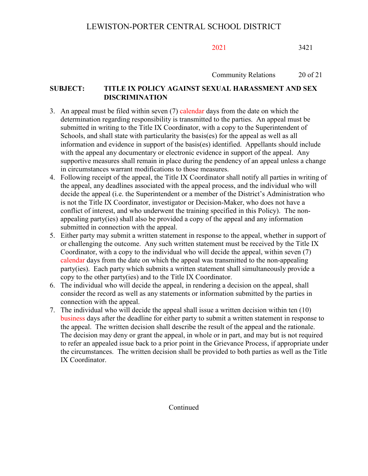Community Relations 20 of 21

## **SUBJECT: TITLE IX POLICY AGAINST SEXUAL HARASSMENT AND SEX DISCRIMINATION**

- 3. An appeal must be filed within seven (7) calendar days from the date on which the determination regarding responsibility is transmitted to the parties. An appeal must be submitted in writing to the Title IX Coordinator, with a copy to the Superintendent of Schools, and shall state with particularity the basis(es) for the appeal as well as all information and evidence in support of the basis(es) identified. Appellants should include with the appeal any documentary or electronic evidence in support of the appeal. Any supportive measures shall remain in place during the pendency of an appeal unless a change in circumstances warrant modifications to those measures.
- 4. Following receipt of the appeal, the Title IX Coordinator shall notify all parties in writing of the appeal, any deadlines associated with the appeal process, and the individual who will decide the appeal (i.e. the Superintendent or a member of the District's Administration who is not the Title IX Coordinator, investigator or Decision-Maker, who does not have a conflict of interest, and who underwent the training specified in this Policy). The nonappealing party(ies) shall also be provided a copy of the appeal and any information submitted in connection with the appeal.
- 5. Either party may submit a written statement in response to the appeal, whether in support of or challenging the outcome. Any such written statement must be received by the Title IX Coordinator, with a copy to the individual who will decide the appeal, within seven (7) calendar days from the date on which the appeal was transmitted to the non-appealing party(ies). Each party which submits a written statement shall simultaneously provide a copy to the other party(ies) and to the Title IX Coordinator.
- 6. The individual who will decide the appeal, in rendering a decision on the appeal, shall consider the record as well as any statements or information submitted by the parties in connection with the appeal.
- 7. The individual who will decide the appeal shall issue a written decision within ten (10) business days after the deadline for either party to submit a written statement in response to the appeal. The written decision shall describe the result of the appeal and the rationale. The decision may deny or grant the appeal, in whole or in part, and may but is not required to refer an appealed issue back to a prior point in the Grievance Process, if appropriate under the circumstances. The written decision shall be provided to both parties as well as the Title IX Coordinator.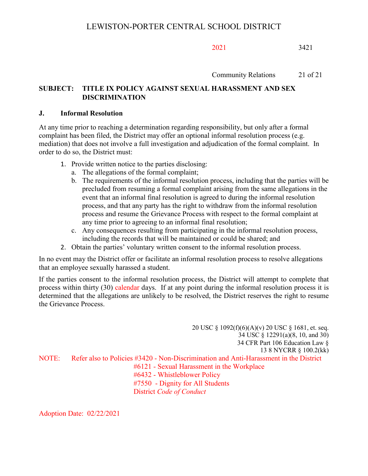Community Relations 21 of 21

## **SUBJECT: TITLE IX POLICY AGAINST SEXUAL HARASSMENT AND SEX DISCRIMINATION**

#### **J. Informal Resolution**

At any time prior to reaching a determination regarding responsibility, but only after a formal complaint has been filed, the District may offer an optional informal resolution process (e.g. mediation) that does not involve a full investigation and adjudication of the formal complaint. In order to do so, the District must:

- 1. Provide written notice to the parties disclosing:
	- a. The allegations of the formal complaint;
	- b. The requirements of the informal resolution process, including that the parties will be precluded from resuming a formal complaint arising from the same allegations in the event that an informal final resolution is agreed to during the informal resolution process, and that any party has the right to withdraw from the informal resolution process and resume the Grievance Process with respect to the formal complaint at any time prior to agreeing to an informal final resolution;
	- c. Any consequences resulting from participating in the informal resolution process, including the records that will be maintained or could be shared; and
- 2. Obtain the parties' voluntary written consent to the informal resolution process.

In no event may the District offer or facilitate an informal resolution process to resolve allegations that an employee sexually harassed a student.

If the parties consent to the informal resolution process, the District will attempt to complete that process within thirty (30) calendar days. If at any point during the informal resolution process it is determined that the allegations are unlikely to be resolved, the District reserves the right to resume the Grievance Process.

20 USC § 1092(f)(6)(A)(v) 20 USC § 1681, et. seq. 34 USC § 12291(a)(8, 10, and 30) 34 CFR Part 106 Education Law § 13 8 NYCRR § 100.2(kk) NOTE: Refer also to Policies #3420 - Non-Discrimination and Anti-Harassment in the District #6121 - Sexual Harassment in the Workplace #6432 - Whistleblower Policy #7550 - Dignity for All Students District *Code of Conduct*

Adoption Date: 02/22/2021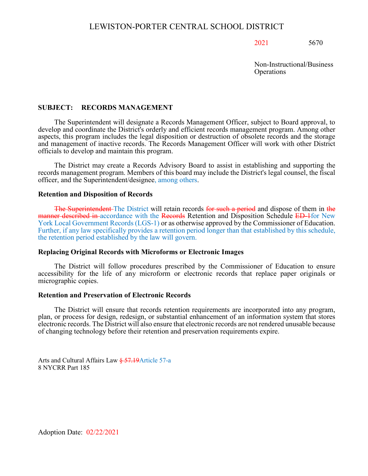Non-Instructional/Business **Operations** 

#### **SUBJECT: RECORDS MANAGEMENT**

The Superintendent will designate a Records Management Officer, subject to Board approval, to develop and coordinate the District's orderly and efficient records management program. Among other aspects, this program includes the legal disposition or destruction of obsolete records and the storage and management of inactive records. The Records Management Officer will work with other District officials to develop and maintain this program.

The District may create a Records Advisory Board to assist in establishing and supporting the records management program. Members of this board may include the District's legal counsel, the fiscal officer, and the Superintendent/designee, among others.

#### **Retention and Disposition of Records**

The Superintendent The District will retain records for such a period and dispose of them in the manner described in accordance with the Records Retention and Disposition Schedule ED-1for New York Local Government Records (LGS-1) or as otherwise approved by the Commissioner of Education. Further, if any law specifically provides a retention period longer than that established by this schedule, the retention period established by the law will govern.

#### **Replacing Original Records with Microforms or Electronic Images**

The District will follow procedures prescribed by the Commissioner of Education to ensure accessibility for the life of any microform or electronic records that replace paper originals or micrographic copies.

#### **Retention and Preservation of Electronic Records**

The District will ensure that records retention requirements are incorporated into any program, plan, or process for design, redesign, or substantial enhancement of an information system that stores electronic records. The District will also ensure that electronic records are not rendered unusable because of changing technology before their retention and preservation requirements expire.

Arts and Cultural Affairs Law § 57.19 Article 57-a 8 NYCRR Part 185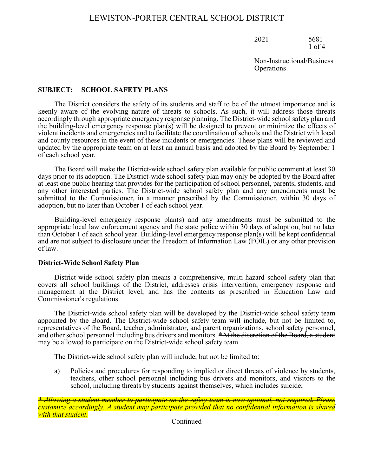2021 5681 1 of 4

Non-Instructional/Business **Operations** 

#### **SUBJECT: SCHOOL SAFETY PLANS**

The District considers the safety of its students and staff to be of the utmost importance and is keenly aware of the evolving nature of threats to schools. As such, it will address those threats accordingly through appropriate emergency response planning. The District-wide school safety plan and the building-level emergency response plan(s) will be designed to prevent or minimize the effects of violent incidents and emergencies and to facilitate the coordination of schools and the District with local and county resources in the event of these incidents or emergencies. These plans will be reviewed and updated by the appropriate team on at least an annual basis and adopted by the Board by September 1 of each school year.

The Board will make the District-wide school safety plan available for public comment at least 30 days prior to its adoption. The District-wide school safety plan may only be adopted by the Board after at least one public hearing that provides for the participation of school personnel, parents, students, and any other interested parties. The District-wide school safety plan and any amendments must be submitted to the Commissioner, in a manner prescribed by the Commissioner, within 30 days of adoption, but no later than October 1 of each school year.

Building-level emergency response plan(s) and any amendments must be submitted to the appropriate local law enforcement agency and the state police within 30 days of adoption, but no later than October 1 of each school year. Building-level emergency response plan(s) will be kept confidential and are not subject to disclosure under the Freedom of Information Law (FOIL) or any other provision of law.

#### **District-Wide School Safety Plan**

District-wide school safety plan means a comprehensive, multi-hazard school safety plan that covers all school buildings of the District, addresses crisis intervention, emergency response and management at the District level, and has the contents as prescribed in Education Law and Commissioner's regulations.

The District-wide school safety plan will be developed by the District-wide school safety team appointed by the Board. The District-wide school safety team will include, but not be limited to, representatives of the Board, teacher, administrator, and parent organizations, school safety personnel, and other school personnel including bus drivers and monitors. \*At the discretion of the Board, a student may be allowed to participate on the District-wide school safety team.

The District-wide school safety plan will include, but not be limited to:

a) Policies and procedures for responding to implied or direct threats of violence by students, teachers, other school personnel including bus drivers and monitors, and visitors to the school, including threats by students against themselves, which includes suicide;

*\* Allowing a student member to participate on the safety team is now optional, not required. Please customize accordingly. A student may participate provided that no confidential information is shared with that student.*<br>Continued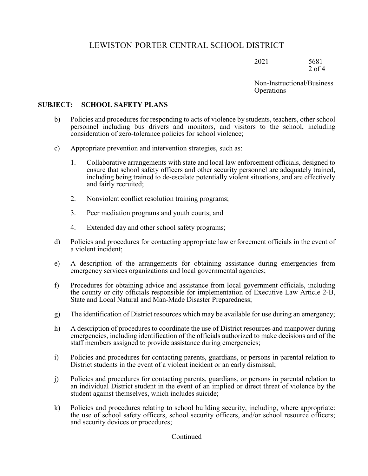2021 5681 2 of 4

Non-Instructional/Business **Operations** 

#### **SUBJECT: SCHOOL SAFETY PLANS**

- b) Policies and procedures for responding to acts of violence by students, teachers, other school personnel including bus drivers and monitors, and visitors to the school, including consideration of zero-tolerance policies for school violence;
- c) Appropriate prevention and intervention strategies, such as:
	- 1. Collaborative arrangements with state and local law enforcement officials, designed to ensure that school safety officers and other security personnel are adequately trained, including being trained to de-escalate potentially violent situations, and are effectively and fairly recruited;
	- 2. Nonviolent conflict resolution training programs;
	- 3. Peer mediation programs and youth courts; and
	- 4. Extended day and other school safety programs;
- d) Policies and procedures for contacting appropriate law enforcement officials in the event of a violent incident;
- e) A description of the arrangements for obtaining assistance during emergencies from emergency services organizations and local governmental agencies;
- f) Procedures for obtaining advice and assistance from local government officials, including the county or city officials responsible for implementation of Executive Law Article 2-B, State and Local Natural and Man-Made Disaster Preparedness;
- g) The identification of District resources which may be available for use during an emergency;
- h) A description of procedures to coordinate the use of District resources and manpower during emergencies, including identification of the officials authorized to make decisions and of the staff members assigned to provide assistance during emergencies;
- i) Policies and procedures for contacting parents, guardians, or persons in parental relation to District students in the event of a violent incident or an early dismissal;
- j) Policies and procedures for contacting parents, guardians, or persons in parental relation to an individual District student in the event of an implied or direct threat of violence by the student against themselves, which includes suicide;
- k) Policies and procedures relating to school building security, including, where appropriate: the use of school safety officers, school security officers, and/or school resource officers; and security devices or procedures;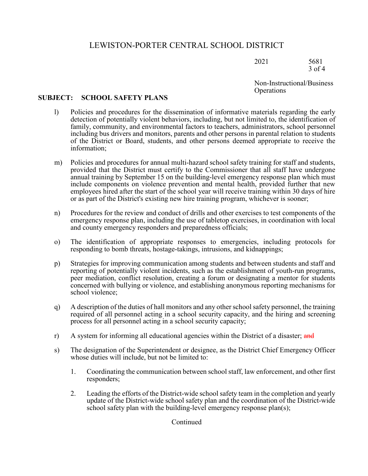2021 5681 3 of 4

Non-Instructional/Business **Operations** 

#### **SUBJECT: SCHOOL SAFETY PLANS**

- l) Policies and procedures for the dissemination of informative materials regarding the early detection of potentially violent behaviors, including, but not limited to, the identification of family, community, and environmental factors to teachers, administrators, school personnel including bus drivers and monitors, parents and other persons in parental relation to students of the District or Board, students, and other persons deemed appropriate to receive the information;
- m) Policies and procedures for annual multi-hazard school safety training for staff and students, provided that the District must certify to the Commissioner that all staff have undergone annual training by September 15 on the building-level emergency response plan which must include components on violence prevention and mental health, provided further that new employees hired after the start of the school year will receive training within 30 days of hire or as part of the District's existing new hire training program, whichever is sooner;
- n) Procedures for the review and conduct of drills and other exercises to test components of the emergency response plan, including the use of tabletop exercises, in coordination with local and county emergency responders and preparedness officials;
- o) The identification of appropriate responses to emergencies, including protocols for responding to bomb threats, hostage-takings, intrusions, and kidnappings;
- p) Strategies for improving communication among students and between students and staff and reporting of potentially violent incidents, such as the establishment of youth-run programs, peer mediation, conflict resolution, creating a forum or designating a mentor for students concerned with bullying or violence, and establishing anonymous reporting mechanisms for school violence;
- q) A description of the duties of hall monitors and any other school safety personnel, the training required of all personnel acting in a school security capacity, and the hiring and screening process for all personnel acting in a school security capacity;
- r) A system for informing all educational agencies within the District of a disaster; and
- s) The designation of the Superintendent or designee, as the District Chief Emergency Officer whose duties will include, but not be limited to:
	- 1. Coordinating the communication between school staff, law enforcement, and other first responders;
	- 2. Leading the efforts of the District-wide school safety team in the completion and yearly update of the District-wide school safety plan and the coordination of the District-wide school safety plan with the building-level emergency response plan(s);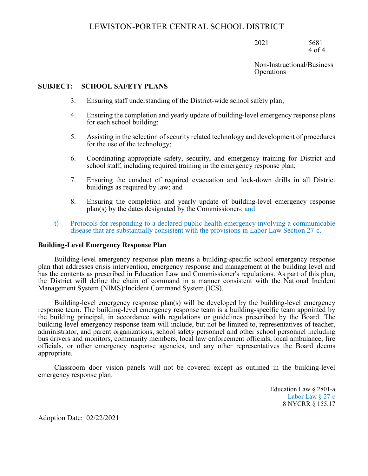2021 5681 4 of 4

Non-Instructional/Business **Operations** 

#### **SUBJECT: SCHOOL SAFETY PLANS**

- 3. Ensuring staff understanding of the District-wide school safety plan;
- 4. Ensuring the completion and yearly update of building-level emergency response plans for each school building;
- 5. Assisting in the selection of security related technology and development of procedures for the use of the technology;
- 6. Coordinating appropriate safety, security, and emergency training for District and school staff, including required training in the emergency response plan;
- 7. Ensuring the conduct of required evacuation and lock-down drills in all District buildings as required by law; and
- 8. Ensuring the completion and yearly update of building-level emergency response plan(s) by the dates designated by the Commissioner.; and
- t) Protocols for responding to a declared public health emergency involving a communicable disease that are substantially consistent with the provisions in Labor Law Section 27-c.

#### **Building-Level Emergency Response Plan**

Building-level emergency response plan means a building-specific school emergency response plan that addresses crisis intervention, emergency response and management at the building level and has the contents as prescribed in Education Law and Commissioner's regulations. As part of this plan, the District will define the chain of command in a manner consistent with the National Incident Management System (NIMS)/Incident Command System (ICS).

Building-level emergency response plan(s) will be developed by the building-level emergency response team. The building-level emergency response team is a building-specific team appointed by the building principal, in accordance with regulations or guidelines prescribed by the Board. The building-level emergency response team will include, but not be limited to, representatives of teacher, administrator, and parent organizations, school safety personnel and other school personnel including bus drivers and monitors, community members, local law enforcement officials, local ambulance, fire officials, or other emergency response agencies, and any other representatives the Board deems appropriate.

Classroom door vision panels will not be covered except as outlined in the building-level emergency response plan.

> Education Law § 2801-a Labor Law § 27-c 8 NYCRR § 155.17

Adoption Date: 02/22/2021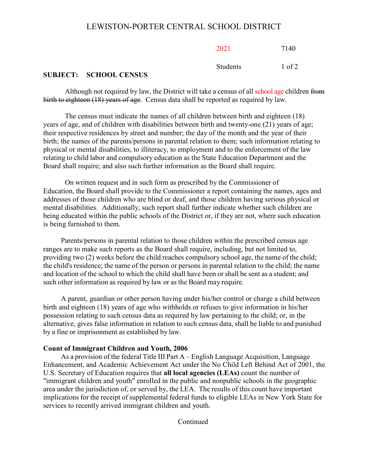| 2021            | 7140   |
|-----------------|--------|
| <b>Students</b> | 1 of 2 |

#### **SUBJECT: SCHOOL CENSUS**

Although not required by law, the District will take a census of all school age children from birth to eighteen (18) years of age. Census data shall be reported as required by law.

The census must indicate the names of all children between birth and eighteen (18) years of age, and of children with disabilities between birth and twenty-one (21) years of age; their respective residences by street and number; the day of the month and the year of their birth; the names of the parents/persons in parental relation to them; such information relating to physical or mental disabilities, to illiteracy, to employment and to the enforcement of the law relating to child labor and compulsory education as the State Education Department and the Board shall require; and also such further information as the Board shall require.

On written request and in such form as prescribed by the Commissioner of Education, the Board shall provide to the Commissioner a report containing the names, ages and addresses of those children who are blind or deaf, and those children having serious physical or mental disabilities. Additionally, such report shall further indicate whether such children are being educated within the public schools of the District or, if they are not, where such education is being furnished to them.

Parents/persons in parental relation to those children within the prescribed census age ranges are to make such reports as the Board shall require, including, but not limited to, providing two (2) weeks before the child reaches compulsory school age, the name of the child; the child's residence; the name of the person or persons in parental relation to the child; the name and location of the school to which the child shall have been or shall be sent as a student; and such other information as required by law or as the Board may require.

A parent, guardian or other person having under his/her control or charge a child between birth and eighteen (18) years of age who withholds or refuses to give information in his/her possession relating to such census data as required by law pertaining to the child; or, in the alternative, gives false information in relation to such census data, shall be liable to and punished by a fine or imprisonment as established by law.

#### **Count of Immigrant Children and Youth, 2006**

As a provision of the federal Title III Part A – English Language Acquisition, Language Enhancement, and Academic Achievement Act under the No Child Left Behind Act of 2001, the U.S. Secretary of Education requires that **all local agencies (LEAs)** count the number of "immigrant children and youth" enrolled in the public and nonpublic schools in the geographic area under the jurisdiction of, or served by, the LEA. The results of this count have important implications for the receipt of supplemental federal funds to eligible LEAs in New York State for services to recently arrived immigrant children and youth.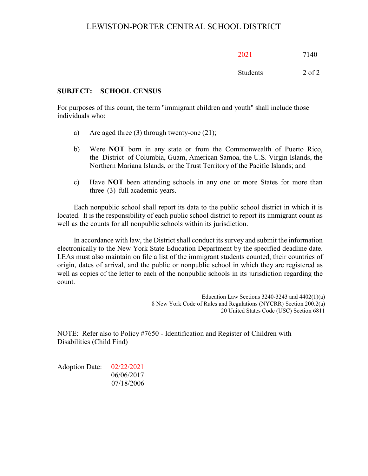| 2021     | 7140       |
|----------|------------|
| Students | $2$ of $2$ |

**SUBJECT: SCHOOL CENSUS**

For purposes of this count, the term "immigrant children and youth" shall include those individuals who:

- a) Are aged three (3) through twenty-one (21);
- b) Were **NOT** born in any state or from the Commonwealth of Puerto Rico, the District of Columbia, Guam, American Samoa, the U.S. Virgin Islands, the Northern Mariana Islands, or the Trust Territory of the Pacific Islands; and
- c) Have **NOT** been attending schools in any one or more States for more than three (3) full academic years.

Each nonpublic school shall report its data to the public school district in which it is located. It is the responsibility of each public school district to report its immigrant count as well as the counts for all nonpublic schools within its jurisdiction.

In accordance with law, the District shall conduct its survey and submit the information electronically to the New York State Education Department by the specified deadline date. LEAs must also maintain on file a list of the immigrant students counted, their countries of origin, dates of arrival, and the public or nonpublic school in which they are registered as well as copies of the letter to each of the nonpublic schools in its jurisdiction regarding the count.

> Education Law Sections  $3240 - 3243$  and  $4402(1)(a)$ 8 New York Code of Rules and Regulations (NYCRR) Section 200.2(a) 20 United States Code (USC) Section 6811

NOTE: Refer also to Policy #7650 - Identification and Register of Children with Disabilities (Child Find)

Adoption Date: 02/22/2021 06/06/2017 07/18/2006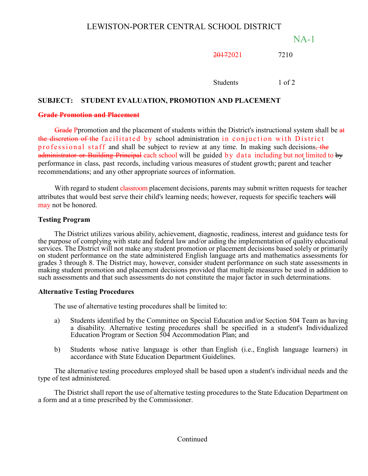NA-1

20172021 7210

Students 1 of 2

## **SUBJECT: STUDENT EVALUATION, PROMOTION AND PLACEMENT**

## **Grade Promotion and Placement**

Grade Ppromotion and the placement of students within the District's instructional system shall be at the discretion of the facilitated by school administration in conjuction with District professional staff and shall be subject to review at any time. In making such decisions, the administrator or Building Principal each school will be guided by data including but not limited to by performance in class, past records, including various measures of student growth; parent and teacher recommendations; and any other appropriate sources of information.

With regard to student classroom placement decisions, parents may submit written requests for teacher attributes that would best serve their child's learning needs; however, requests for specific teachers will may not be honored.

## **Testing Program**

The District utilizes various ability, achievement, diagnostic, readiness, interest and guidance tests for the purpose of complying with state and federal law and/or aiding the implementation of quality educational services. The District will not make any student promotion or placement decisions based solely or primarily on student performance on the state administered English language arts and mathematics assessments for grades 3 through 8. The District may, however, consider student performance on such state assessments in making student promotion and placement decisions provided that multiple measures be used in addition to such assessments and that such assessments do not constitute the major factor in such determinations.

## **Alternative Testing Procedures**

The use of alternative testing procedures shall be limited to:

- a) Students identified by the Committee on Special Education and/or Section 504 Team as having a disability. Alternative testing procedures shall be specified in a student's Individualized Education Program or Section 504 Accommodation Plan; and
- b) Students whose native language is other than English (i.e., English language learners) in accordance with State Education Department Guidelines.

The alternative testing procedures employed shall be based upon a student's individual needs and the type of test administered.

The District shall report the use of alternative testing procedures to the State Education Department on a form and at a time prescribed by the Commissioner.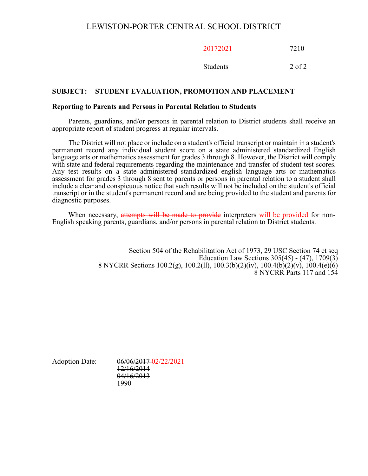20172021 7210

Students 2 of 2

## **SUBJECT: STUDENT EVALUATION, PROMOTION AND PLACEMENT**

#### **Reporting to Parents and Persons in Parental Relation to Students**

Parents, guardians, and/or persons in parental relation to District students shall receive an appropriate report of student progress at regular intervals.

The District will not place or include on a student's official transcript or maintain in a student's permanent record any individual student score on a state administered standardized English language arts or mathematics assessment for grades 3 through 8. However, the District will comply with state and federal requirements regarding the maintenance and transfer of student test scores. Any test results on a state administered standardized english language arts or mathematics assessment for grades 3 through 8 sent to parents or persons in parental relation to a student shall include a clear and conspicuous notice that such results will not be included on the student's official transcript or in the student's permanent record and are being provided to the student and parents for diagnostic purposes.

When necessary, attempts will be made to provide interpreters will be provided for non-<br>English speaking parents, guardians, and/or persons in parental relation to District students.

Section 504 of the Rehabilitation Act of 1973, 29 USC Section 74 et seq Education Law Sections  $305(45) - (47)$ ,  $1709(3)$ 8 NYCRR Sections 100.2(g), 100.2(ll), 100.3(b)(2)(iv), 100.4(b)(2)(v), 100.4(e)(6) 8 NYCRR Parts 117 and 154

Adoption Date: 06/06/2017 02/22/2021 12/16/2014 04/16/2013 1990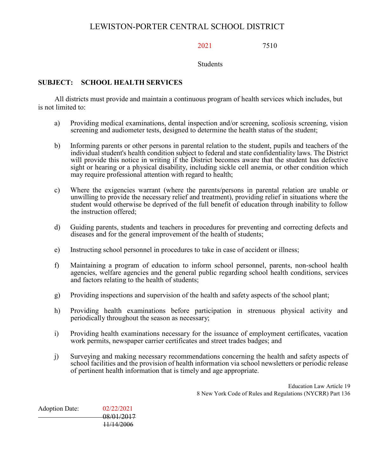2021 7510

Students

## **SUBJECT: SCHOOL HEALTH SERVICES**

All districts must provide and maintain a continuous program of health services which includes, but is not limited to:

- a) Providing medical examinations, dental inspection and/or screening, scoliosis screening, vision screening and audiometer tests, designed to determine the health status of the student;
- b) Informing parents or other persons in parental relation to the student, pupils and teachers of the individual student's health condition subject to federal and state confidentiality laws. The District will provide this notice in writing if the District becomes aware that the student has defective sight or hearing or a physical disability, including sickle cell anemia, or other condition which may require professional attention with regard to health;
- c) Where the exigencies warrant (where the parents/persons in parental relation are unable or unwilling to provide the necessary relief and treatment), providing relief in situations where the student would otherwise be deprived of the full benefit of education through inability to follow the instruction offered;
- d) Guiding parents, students and teachers in procedures for preventing and correcting defects and diseases and for the general improvement of the health of students;
- e) Instructing school personnel in procedures to take in case of accident or illness;
- f) Maintaining a program of education to inform school personnel, parents, non-school health agencies, welfare agencies and the general public regarding school health conditions, services and factors relating to the health of students;
- g) Providing inspections and supervision of the health and safety aspects of the school plant;
- h) Providing health examinations before participation in strenuous physical activity and periodically throughout the season as necessary;
- i) Providing health examinations necessary for the issuance of employment certificates, vacation work permits, newspaper carrier certificates and street trades badges; and
- j) Surveying and making necessary recommendations concerning the health and safety aspects of school facilities and the provision of health information via school newsletters or periodic release of pertinent health information that is timely and age appropriate.

Education Law Article 19 8 New York Code of Rules and Regulations (NYCRR) Part 136

Adoption Date: 02/22/2021 08/01/2017 11/14/2006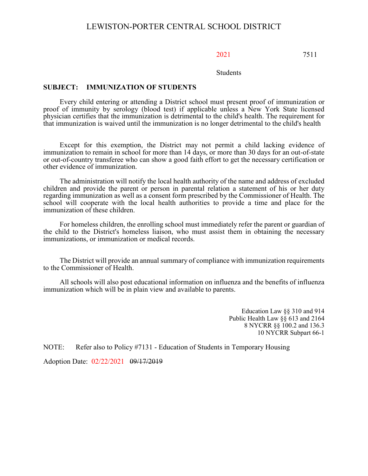## 2021 7511

Students

## **SUBJECT: IMMUNIZATION OF STUDENTS**

Every child entering or attending a District school must present proof of immunization or proof of immunity by serology (blood test) if applicable unless a New York State licensed physician certifies that the immunization is detrimental to the child's health. The requirement for that immunization is waived until the immunization is no longer detrimental to the child's health

Except for this exemption, the District may not permit a child lacking evidence of immunization to remain in school for more than 14 days, or more than 30 days for an out-of-state or out-of-country transferee who can show a good faith effort to get the necessary certification or other evidence of immunization.

The administration will notify the local health authority of the name and address of excluded children and provide the parent or person in parental relation a statement of his or her duty regarding immunization as well as a consent form prescribed by the Commissioner of Health. The school will cooperate with the local health authorities to provide a time and place for the immunization of these children.

For homeless children, the enrolling school must immediately refer the parent or guardian of the child to the District's homeless liaison, who must assist them in obtaining the necessary immunizations, or immunization or medical records.

The District will provide an annual summary of compliance with immunization requirements to the Commissioner of Health.

All schools will also post educational information on influenza and the benefits of influenza immunization which will be in plain view and available to parents.

> Education Law §§ 310 and 914 Public Health Law §§ 613 and 2164 8 NYCRR §§ 100.2 and 136.3 10 NYCRR Subpart 66-1

NOTE: Refer also to Policy #7131 - Education of Students in Temporary Housing

Adoption Date: 02/22/2021 09/17/2019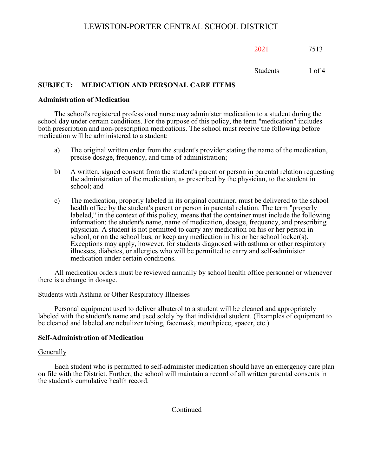2021 7513

Students 1 of 4

## **SUBJECT: MEDICATION AND PERSONAL CARE ITEMS**

#### **Administration of Medication**

The school's registered professional nurse may administer medication to a student during the school day under certain conditions. For the purpose of this policy, the term "medication" includes both prescription and non-prescription medications. The school must receive the following before medication will be administered to a student:

- a) The original written order from the student's provider stating the name of the medication, precise dosage, frequency, and time of administration;
- b) A written, signed consent from the student's parent or person in parental relation requesting the administration of the medication, as prescribed by the physician, to the student in school; and
- c) The medication, properly labeled in its original container, must be delivered to the school health office by the student's parent or person in parental relation. The term "properly labeled," in the context of this policy, means that the container must include the following information: the student's name, name of medication, dosage, frequency, and prescribing physician. A student is not permitted to carry any medication on his or her person in school, or on the school bus, or keep any medication in his or her school locker(s). Exceptions may apply, however, for students diagnosed with asthma or other respiratory illnesses, diabetes, or allergies who will be permitted to carry and self-administer medication under certain conditions.

All medication orders must be reviewed annually by school health office personnel or whenever there is a change in dosage.

#### Students with Asthma or Other Respiratory Illnesses

Personal equipment used to deliver albuterol to a student will be cleaned and appropriately labeled with the student's name and used solely by that individual student. (Examples of equipment to be cleaned and labeled are nebulizer tubing, facemask, mouthpiece, spacer, etc.)

## **Self-Administration of Medication**

#### **Generally**

Each student who is permitted to self-administer medication should have an emergency care plan on file with the District. Further, the school will maintain a record of all written parental consents in the student's cumulative health record.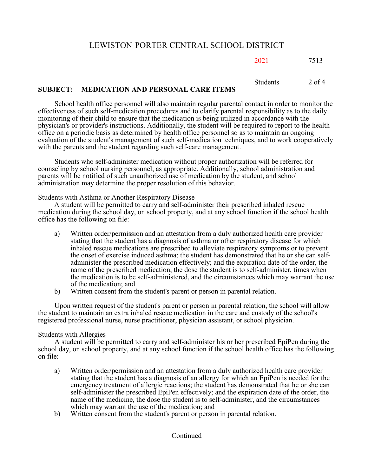2021 7513

Students 2 of 4

## **SUBJECT: MEDICATION AND PERSONAL CARE ITEMS**

School health office personnel will also maintain regular parental contact in order to monitor the effectiveness of such self-medication procedures and to clarify parental responsibility as to the daily monitoring of their child to ensure that the medication is being utilized in accordance with the physician's or provider's instructions. Additionally, the student will be required to report to the health office on a periodic basis as determined by health office personnel so as to maintain an ongoing evaluation of the student's management of such self-medication techniques, and to work cooperatively with the parents and the student regarding such self-care management.

Students who self-administer medication without proper authorization will be referred for counseling by school nursing personnel, as appropriate. Additionally, school administration and parents will be notified of such unauthorized use of medication by the student, and school administration may determine the proper resolution of this behavior.

Students with Asthma or Another Respiratory Disease

A student will be permitted to carry and self-administer their prescribed inhaled rescue medication during the school day, on school property, and at any school function if the school health office has the following on file:

- a) Written order/permission and an attestation from a duly authorized health care provider stating that the student has a diagnosis of asthma or other respiratory disease for which inhaled rescue medications are prescribed to alleviate respiratory symptoms or to prevent the onset of exercise induced asthma; the student has demonstrated that he or she can selfadminister the prescribed medication effectively; and the expiration date of the order, the name of the prescribed medication, the dose the student is to self-administer, times when the medication is to be self-administered, and the circumstances which may warrant the use of the medication; and
- b) Written consent from the student's parent or person in parental relation.

Upon written request of the student's parent or person in parental relation, the school will allow the student to maintain an extra inhaled rescue medication in the care and custody of the school's registered professional nurse, nurse practitioner, physician assistant, or school physician.

## Students with Allergies

A student will be permitted to carry and self-administer his or her prescribed EpiPen during the school day, on school property, and at any school function if the school health office has the following on file:

- a) Written order/permission and an attestation from a duly authorized health care provider stating that the student has a diagnosis of an allergy for which an EpiPen is needed for the emergency treatment of allergic reactions; the student has demonstrated that he or she can self-administer the prescribed EpiPen effectively; and the expiration date of the order, the name of the medicine, the dose the student is to self-administer, and the circumstances which may warrant the use of the medication; and
- b) Written consent from the student's parent or person in parental relation.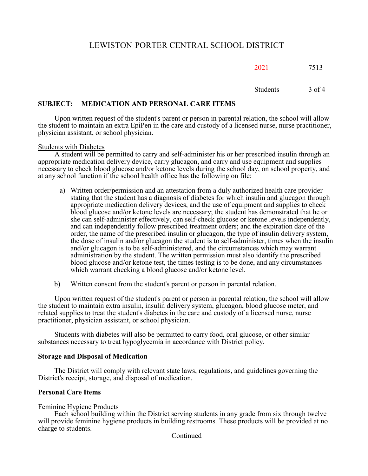2021 7513

Students 3 of 4

## **SUBJECT: MEDICATION AND PERSONAL CARE ITEMS**

Upon written request of the student's parent or person in parental relation, the school will allow the student to maintain an extra EpiPen in the care and custody of a licensed nurse, nurse practitioner, physician assistant, or school physician.

## Students with Diabetes

A student will be permitted to carry and self-administer his or her prescribed insulin through an appropriate medication delivery device, carry glucagon, and carry and use equipment and supplies necessary to check blood glucose and/or ketone levels during the school day, on school property, and at any school function if the school health office has the following on file:

- a) Written order/permission and an attestation from a duly authorized health care provider stating that the student has a diagnosis of diabetes for which insulin and glucagon through appropriate medication delivery devices, and the use of equipment and supplies to check blood glucose and/or ketone levels are necessary; the student has demonstrated that he or she can self-administer effectively, can self-check glucose or ketone levels independently, and can independently follow prescribed treatment orders; and the expiration date of the order, the name of the prescribed insulin or glucagon, the type of insulin delivery system, the dose of insulin and/or glucagon the student is to self-administer, times when the insulin and/or glucagon is to be self-administered, and the circumstances which may warrant administration by the student. The written permission must also identify the prescribed blood glucose and/or ketone test, the times testing is to be done, and any circumstances which warrant checking a blood glucose and/or ketone level.
- b) Written consent from the student's parent or person in parental relation.

Upon written request of the student's parent or person in parental relation, the school will allow the student to maintain extra insulin, insulin delivery system, glucagon, blood glucose meter, and related supplies to treat the student's diabetes in the care and custody of a licensed nurse, nurse practitioner, physician assistant, or school physician.

Students with diabetes will also be permitted to carry food, oral glucose, or other similar substances necessary to treat hypoglycemia in accordance with District policy.

## **Storage and Disposal of Medication**

The District will comply with relevant state laws, regulations, and guidelines governing the District's receipt, storage, and disposal of medication.

## **Personal Care Items**

## Feminine Hygiene Products

Each school building within the District serving students in any grade from six through twelve will provide feminine hygiene products in building restrooms. These products will be provided at no charge to students.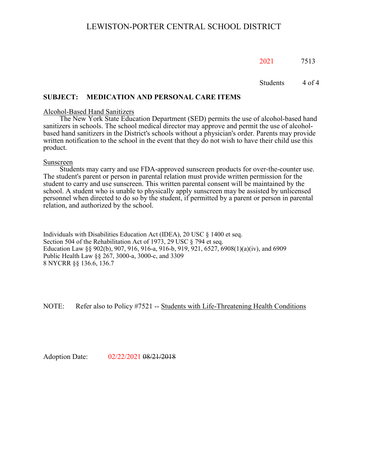2021 7513

Students 4 of 4

## **SUBJECT: MEDICATION AND PERSONAL CARE ITEMS**

#### Alcohol-Based Hand Sanitizers

The New York State Education Department (SED) permits the use of alcohol-based hand sanitizers in schools. The school medical director may approve and permit the use of alcoholbased hand sanitizers in the District's schools without a physician's order. Parents may provide written notification to the school in the event that they do not wish to have their child use this product.

#### Sunscreen

Students may carry and use FDA-approved sunscreen products for over-the-counter use. The student's parent or person in parental relation must provide written permission for the student to carry and use sunscreen. This written parental consent will be maintained by the school. A student who is unable to physically apply sunscreen may be assisted by unlicensed personnel when directed to do so by the student, if permitted by a parent or person in parental relation, and authorized by the school.

Individuals with Disabilities Education Act (IDEA), 20 USC § 1400 et seq. Section 504 of the Rehabilitation Act of 1973, 29 USC § 794 et seq. Education Law §§ 902(b), 907, 916, 916-a, 916-b, 919, 921, 6527, 6908(1)(a)(iv), and 6909 Public Health Law §§ 267, 3000-a, 3000-c, and 3309 8 NYCRR §§ 136.6, 136.7

NOTE: Refer also to Policy #7521 -- Students with Life-Threatening Health Conditions

Adoption Date: 02/22/2021 08/21/2018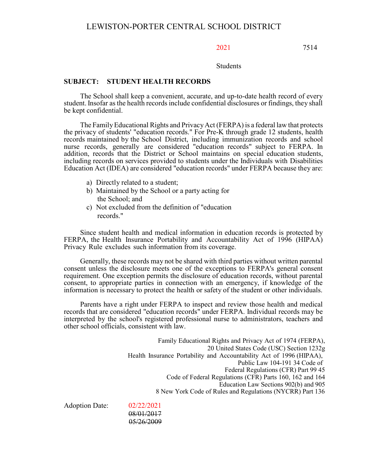2021 7514

Students

#### **SUBJECT: STUDENT HEALTH RECORDS**

The School shall keep a convenient, accurate, and up-to-date health record of every student. Insofar as the health records include confidential disclosures or findings, they shall be kept confidential.

The FamilyEducational Rights and PrivacyAct (FERPA) is a federal law that protects the privacy of students' "education records." For Pre-K through grade 12 students, health records maintained by the School District, including immunization records and school nurse records, generally are considered "education records" subject to FERPA. In addition, records that the District or School maintains on special education students, including records on services provided to students under the Individuals with Disabilities Education Act (IDEA) are considered "education records" under FERPA because they are:

- a) Directly related to a student;
- b) Maintained by the School or a party acting for the School; and
- c) Not excluded from the definition of "education records."

Since student health and medical information in education records is protected by FERPA, the Health Insurance Portability and Accountability Act of 1996 (HIPAA) Privacy Rule excludes such information from its coverage.

Generally, these records may not be shared with third parties without written parental consent unless the disclosure meets one of the exceptions to FERPA's general consent requirement. One exception permits the disclosure of education records, without parental consent, to appropriate parties in connection with an emergency, if knowledge of the information is necessary to protect the health or safety of the student or other individuals.

Parents have a right under FERPA to inspect and review those health and medical records that are considered "education records" under FERPA. Individual records may be interpreted by the school's registered professional nurse to administrators, teachers and other school officials, consistent with law.

Family Educational Rights and Privacy Act of 1974 (FERPA), 20 United States Code (USC) Section 1232g Health Insurance Portability and Accountability Act of 1996 (HIPAA), Public Law 104-191 34 Code of Federal Regulations (CFR) Part 99 45 Code of Federal Regulations (CFR) Parts 160, 162 and 164 Education Law Sections 902(b) and 905 8 New York Code of Rules and Regulations (NYCRR) Part 136

Adoption Date: 02/22/2021

08/01/2017 05/26/2009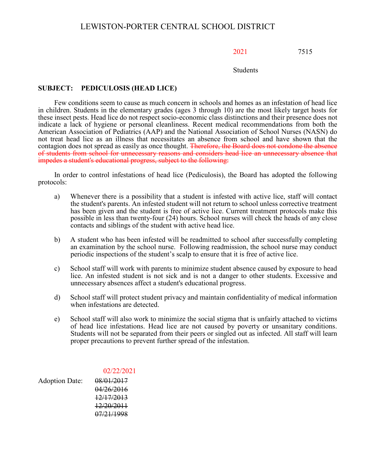## 2021 7515

#### Students

## **SUBJECT: PEDICULOSIS (HEAD LICE)**

Few conditions seem to cause as much concern in schools and homes as an infestation of head lice in children. Students in the elementary grades (ages 3 through 10) are the most likely target hosts for these insect pests. Head lice do not respect socio-economic class distinctions and their presence does not indicate a lack of hygiene or personal cleanliness. Recent medical recommendations from both the American Association of Pediatrics (AAP) and the National Association of School Nurses (NASN) do not treat head lice as an illness that necessitates an absence from school and have shown that the contagion does not spread as easily as once thought. Therefore, the Board does not condone the absence of students from school for unnecessary reasons and considers head lice an unnecessary absence that impedes a student's educational progress, subject to the following:

In order to control infestations of head lice (Pediculosis), the Board has adopted the following protocols:

- a) Whenever there is a possibility that a student is infested with active lice, staff will contact the student's parents. An infested student will not return to school unless corrective treatment has been given and the student is free of active lice. Current treatment protocols make this possible in less than twenty-four (24) hours. School nurses will check the heads of any close contacts and siblings of the student with active head lice.
- b) A student who has been infested will be readmitted to school after successfully completing an examination by the school nurse. Following readmission, the school nurse may conduct periodic inspections of the student's scalp to ensure that it is free of active lice.
- c) School staff will work with parents to minimize student absence caused by exposure to head lice. An infested student is not sick and is not a danger to other students. Excessive and unnecessary absences affect a student's educational progress.
- d) School staff will protect student privacy and maintain confidentiality of medical information when infestations are detected.
- e) School staff will also work to minimize the social stigma that is unfairly attached to victims of head lice infestations. Head lice are not caused by poverty or unsanitary conditions. Students will not be separated from their peers or singled out as infected. All staff will learn proper precautions to prevent further spread of the infestation.

## 02/22/2021

Adoption Date: 08/01/2017 04/26/2016 12/17/2013 12/20/2011 07/21/1998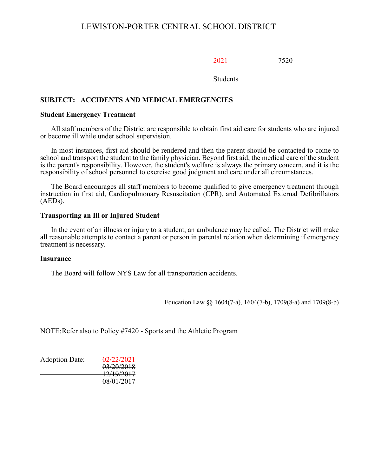2021 7520

**Students** 

## **SUBJECT: ACCIDENTS AND MEDICAL EMERGENCIES**

#### **Student Emergency Treatment**

All staff members of the District are responsible to obtain first aid care for students who are injured or become ill while under school supervision.

In most instances, first aid should be rendered and then the parent should be contacted to come to school and transport the student to the family physician. Beyond first aid, the medical care of the student is the parent's responsibility. However, the student's welfare is always the primary concern, and it is the responsibility of school personnel to exercise good judgment and care under all circumstances.

The Board encourages all staff members to become qualified to give emergency treatment through instruction in first aid, Cardiopulmonary Resuscitation (CPR), and Automated External Defibrillators (AEDs).

#### **Transporting an Ill or Injured Student**

In the event of an illness or injury to a student, an ambulance may be called. The District will make all reasonable attempts to contact a parent or person in parental relation when determining if emergency treatment is necessary.

#### **Insurance**

The Board will follow NYS Law for all transportation accidents.

Education Law §§ 1604(7-a), 1604(7-b), 1709(8-a) and 1709(8-b)

NOTE:Refer also to Policy #7420 - Sports and the Athletic Program

| <b>Adoption Date:</b> | 02/22/2021 |
|-----------------------|------------|
|                       | 03/20/2018 |
|                       | 12/19/2017 |
|                       | 08/01/2017 |
|                       |            |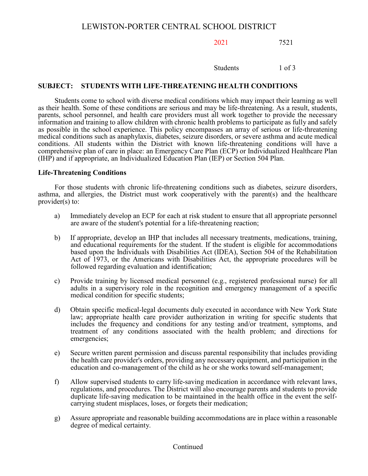2021 7521

Students 1 of 3

## **SUBJECT: STUDENTS WITH LIFE-THREATENING HEALTH CONDITIONS**

Students come to school with diverse medical conditions which may impact their learning as well as their health. Some of these conditions are serious and may be life-threatening. As a result, students, parents, school personnel, and health care providers must all work together to provide the necessary information and training to allow children with chronic health problems to participate as fully and safely as possible in the school experience. This policy encompasses an array of serious or life-threatening medical conditions such as anaphylaxis, diabetes, seizure disorders, or severe asthma and acute medical conditions. All students within the District with known life-threatening conditions will have a comprehensive plan of care in place: an Emergency Care Plan (ECP) or Individualized Healthcare Plan (IHP) and if appropriate, an Individualized Education Plan (IEP) or Section 504 Plan.

## **Life-Threatening Conditions**

For those students with chronic life-threatening conditions such as diabetes, seizure disorders, asthma, and allergies, the District must work cooperatively with the parent(s) and the healthcare provider(s) to:

- a) Immediately develop an ECP for each at risk student to ensure that all appropriate personnel are aware of the student's potential for a life-threatening reaction;
- b) If appropriate, develop an IHP that includes all necessary treatments, medications, training, and educational requirements for the student. If the student is eligible for accommodations based upon the Individuals with Disabilities Act (IDEA), Section 504 of the Rehabilitation Act of 1973, or the Americans with Disabilities Act, the appropriate procedures will be followed regarding evaluation and identification;
- c) Provide training by licensed medical personnel (e.g., registered professional nurse) for all adults in a supervisory role in the recognition and emergency management of a specific medical condition for specific students;
- d) Obtain specific medical-legal documents duly executed in accordance with New York State law; appropriate health care provider authorization in writing for specific students that includes the frequency and conditions for any testing and/or treatment, symptoms, and treatment of any conditions associated with the health problem; and directions for emergencies;
- e) Secure written parent permission and discuss parental responsibility that includes providing the health care provider's orders, providing any necessary equipment, and participation in the education and co-management of the child as he or she works toward self-management;
- f) Allow supervised students to carry life-saving medication in accordance with relevant laws, regulations, and procedures. The District will also encourage parents and students to provide duplicate life-saving medication to be maintained in the health office in the event the selfcarrying student misplaces, loses, or forgets their medication;
- g) Assure appropriate and reasonable building accommodations are in place within a reasonable degree of medical certainty.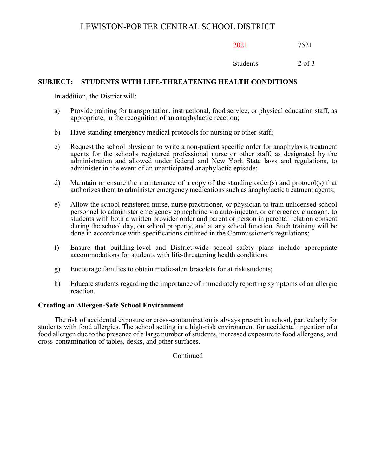2021 7521

Students 2 of 3

## **SUBJECT: STUDENTS WITH LIFE-THREATENING HEALTH CONDITIONS**

In addition, the District will:

- a) Provide training for transportation, instructional, food service, or physical education staff, as appropriate, in the recognition of an anaphylactic reaction;
- b) Have standing emergency medical protocols for nursing or other staff;
- c) Request the school physician to write a non-patient specific order for anaphylaxis treatment agents for the school's registered professional nurse or other staff, as designated by the administration and allowed under federal and New York State laws and regulations, to administer in the event of an unanticipated anaphylactic episode;
- d) Maintain or ensure the maintenance of a copy of the standing order(s) and protocol(s) that authorizes them to administer emergency medications such as anaphylactic treatment agents;
- e) Allow the school registered nurse, nurse practitioner, or physician to train unlicensed school personnel to administer emergency epinephrine via auto-injector, or emergency glucagon, to students with both a written provider order and parent or person in parental relation consent during the school day, on school property, and at any school function. Such training will be done in accordance with specifications outlined in the Commissioner's regulations;
- f) Ensure that building-level and District-wide school safety plans include appropriate accommodations for students with life-threatening health conditions.
- g) Encourage families to obtain medic-alert bracelets for at risk students;
- h) Educate students regarding the importance of immediately reporting symptoms of an allergic reaction.

## **Creating an Allergen-Safe School Environment**

The risk of accidental exposure or cross-contamination is always present in school, particularly for students with food allergies. The school setting is a high-risk environment for accidental ingestion of a food allergen due to the presence of a large number of students, increased exposure to food allergens, and cross-contamination of tables, desks, and other surfaces.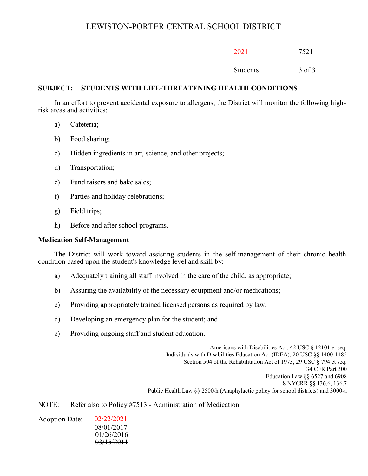| 2021     | 7521       |
|----------|------------|
| Students | $3$ of $3$ |

## **SUBJECT: STUDENTS WITH LIFE-THREATENING HEALTH CONDITIONS**

In an effort to prevent accidental exposure to allergens, the District will monitor the following highrisk areas and activities:

- a) Cafeteria;
- b) Food sharing;
- c) Hidden ingredients in art, science, and other projects;
- d) Transportation;
- e) Fund raisers and bake sales;
- f) Parties and holiday celebrations;
- g) Field trips;
- h) Before and after school programs.

#### **Medication Self-Management**

The District will work toward assisting students in the self-management of their chronic health condition based upon the student's knowledge level and skill by:

- a) Adequately training all staff involved in the care of the child, as appropriate;
- b) Assuring the availability of the necessary equipment and/or medications;
- c) Providing appropriately trained licensed persons as required by law;
- d) Developing an emergency plan for the student; and
- e) Providing ongoing staff and student education.

Americans with Disabilities Act, 42 USC § 12101 et seq. Individuals with Disabilities Education Act (IDEA), 20 USC §§ 1400-1485 Section 504 of the Rehabilitation Act of 1973, 29 USC § 794 et seq. 34 CFR Part 300 Education Law §§ 6527 and 6908 8 NYCRR §§ 136.6, 136.7 Public Health Law §§ 2500-h (Anaphylactic policy for school districts) and 3000-a

NOTE: Refer also to Policy #7513 - Administration of Medication

Adoption Date: 02/22/2021 08/01/2017 01/26/2016 03/15/2011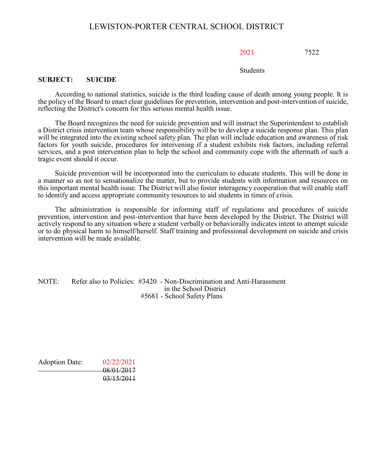#### 2021 7522

**Students** 

#### **SUBJECT: SUICIDE**

According to national statistics, suicide is the third leading cause of death among young people. It is the policy of the Board to enact clear guidelines for prevention, intervention and post-intervention of suicide, reflecting the District's concern for this serious mental health issue.

The Board recognizes the need for suicide prevention and will instruct the Superintendent to establish a District crisis intervention team whose responsibility will be to develop a suicide response plan. This plan will be integrated into the existing school safety plan. The plan will include education and awareness of risk factors for youth suicide, procedures for intervening if a student exhibits risk factors, including referral services, and a post intervention plan to help the school and community cope with the aftermath of such a tragic event should it occur.

Suicide prevention will be incorporated into the curriculum to educate students. This will be done in a manner so as not to sensationalize the matter, but to provide students with information and resources on this important mental health issue. The District will also foster interagency cooperation that will enable staff to identify and access appropriate community resources to aid students in times of crisis.

The administration is responsible for informing staff of regulations and procedures of suicide prevention, intervention and post-intervention that have been developed by the District. The District will actively respond to any situation where a student verbally or behaviorally indicates intent to attempt suicide or to do physical harm to himself/herself. Staff training and professional development on suicide and crisis intervention will be made available.

NOTE: Refer also to Policies: #3420 - Non-Discrimination and Anti-Harassment in the School District #5681 - School Safety Plans

Adoption Date: 02/22/2021 08/01/2017 03/15/2011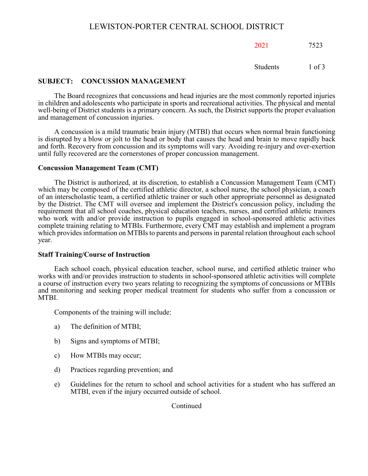2021 7523

Students 1 of 3

## **SUBJECT: CONCUSSION MANAGEMENT**

The Board recognizes that concussions and head injuries are the most commonly reported injuries in children and adolescents who participate in sports and recreational activities. The physical and mental well-being of District students is a primary concern. As such, the District supports the proper evaluation and management of concussion injuries.

A concussion is a mild traumatic brain injury (MTBI) that occurs when normal brain functioning is disrupted by a blow or jolt to the head or body that causes the head and brain to move rapidly back and forth. Recovery from concussion and its symptoms will vary*.* Avoiding re-injury and over-exertion until fully recovered are the cornerstones of proper concussion management.

## **Concussion Management Team (CMT)**

The District is authorized, at its discretion, to establish a Concussion Management Team (CMT) which may be composed of the certified athletic director, a school nurse, the school physician, a coach of an interscholastic team, a certified athletic trainer or such other appropriate personnel as designated by the District. The CMT will oversee and implement the District's concussion policy, including the requirement that all school coaches, physical education teachers, nurses, and certified athletic trainers who work with and/or provide instruction to pupils engaged in school-sponsored athletic activities complete training relating to MTBIs. Furthermore, every CMT may establish and implement a program which provides information on MTBIs to parents and persons in parental relation throughout each school year.

## **Staff Training/Course of Instruction**

Each school coach, physical education teacher, school nurse, and certified athletic trainer who works with and/or provides instruction to students in school-sponsored athletic activities will complete a course of instruction every two years relating to recognizing the symptoms of concussions or MTBIs and monitoring and seeking proper medical treatment for students who suffer from a concussion or MTBI.

Components of the training will include:

- a) The definition of MTBI;
- b) Signs and symptoms of MTBI;
- c) How MTBIs may occur;
- d) Practices regarding prevention; and
- e) Guidelines for the return to school and school activities for a student who has suffered an MTBI, even if the injury occurred outside of school.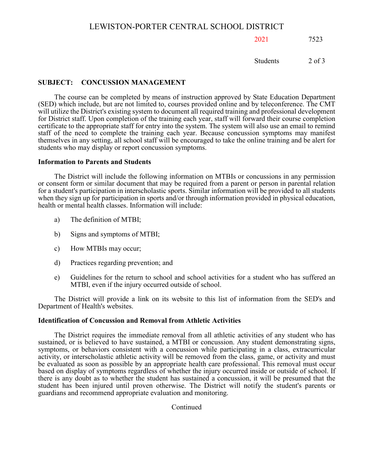## 2021 7523

Students 2 of 3

## **SUBJECT: CONCUSSION MANAGEMENT**

The course can be completed by means of instruction approved by State Education Department (SED) which include, but are not limited to, courses provided online and by teleconference. The CMT will utilize the District's existing system to document all required training and professional development for District staff. Upon completion of the training each year, staff will forward their course completion certificate to the appropriate staff for entry into the system. The system will also use an email to remind staff of the need to complete the training each year. Because concussion symptoms may manifest themselves in any setting, all school staff will be encouraged to take the online training and be alert for students who may display or report concussion symptoms.

#### **Information to Parents and Students**

The District will include the following information on MTBIs or concussions in any permission or consent form or similar document that may be required from a parent or person in parental relation for a student's participation in interscholastic sports. Similar information will be provided to all students when they sign up for participation in sports and/or through information provided in physical education, health or mental health classes. Information will include:

- a) The definition of MTBI;
- b) Signs and symptoms of MTBI;
- c) How MTBIs may occur;
- d) Practices regarding prevention; and
- e) Guidelines for the return to school and school activities for a student who has suffered an MTBI, even if the injury occurred outside of school.

The District will provide a link on its website to this list of information from the SED's and Department of Health's websites.

## **Identification of Concussion and Removal from Athletic Activities**

The District requires the immediate removal from all athletic activities of any student who has sustained, or is believed to have sustained, a MTBI or concussion. Any student demonstrating signs, symptoms, or behaviors consistent with a concussion while participating in a class, extracurricular activity, or interscholastic athletic activity will be removed from the class, game, or activity and must be evaluated as soon as possible by an appropriate health care professional. This removal must occur based on display of symptoms regardless of whether the injury occurred inside or outside of school. If there is any doubt as to whether the student has sustained a concussion, it will be presumed that the student has been injured until proven otherwise. The District will notify the student's parents or guardians and recommend appropriate evaluation and monitoring.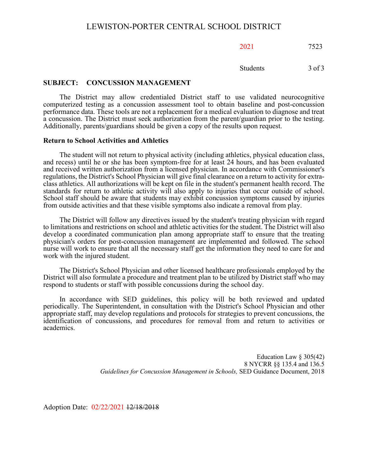2021 7523

Students 3 of 3

#### **SUBJECT: CONCUSSION MANAGEMENT**

The District may allow credentialed District staff to use validated neurocognitive computerized testing as a concussion assessment tool to obtain baseline and post-concussion performance data. These tools are not a replacement for a medical evaluation to diagnose and treat a concussion. The District must seek authorization from the parent/guardian prior to the testing. Additionally, parents/guardians should be given a copy of the results upon request.

#### **Return to School Activities and Athletics**

The student will not return to physical activity (including athletics, physical education class, and recess) until he or she has been symptom-free for at least 24 hours, and has been evaluated and received written authorization from a licensed physician. In accordance with Commissioner's regulations, the District's School Physician will give final clearance on a return to activity for extra- class athletics. All authorizations will be kept on file in the student's permanent health record. The standards for return to athletic activity will also apply to injuries that occur outside of school. School staff should be aware that students may exhibit concussion symptoms caused by injuries from outside activities and that these visible symptoms also indicate a removal from play.

The District will follow any directives issued by the student's treating physician with regard to limitations and restrictions on school and athletic activities for the student. The District will also develop a coordinated communication plan among appropriate staff to ensure that the treating physician's orders for post-concussion management are implemented and followed. The school nurse will work to ensure that all the necessary staff get the information they need to care for and work with the injured student.

The District's School Physician and other licensed healthcare professionals employed by the District will also formulate a procedure and treatment plan to be utilized by District staff who may respond to students or staff with possible concussions during the school day.

In accordance with SED guidelines, this policy will be both reviewed and updated periodically. The Superintendent, in consultation with the District's School Physician and other appropriate staff, may develop regulations and protocols for strategies to prevent concussions, the identification of concussions, and procedures for removal from and return to activities or academics.

> Education Law § 305(42) 8 NYCRR §§ 135.4 and 136.5 *Guidelines for Concussion Management in Schools,* SED Guidance Document, 2018

Adoption Date: 02/22/2021 12/18/2018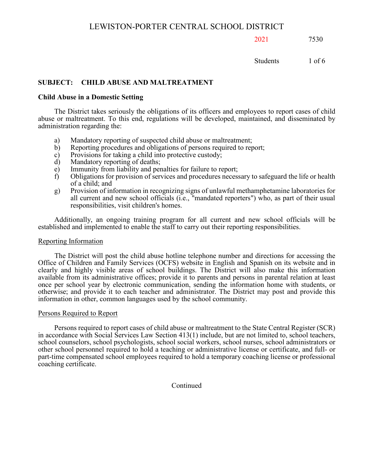2021 7530

Students 1 of 6

## **SUBJECT: CHILD ABUSE AND MALTREATMENT**

## **Child Abuse in a Domestic Setting**

The District takes seriously the obligations of its officers and employees to report cases of child abuse or maltreatment. To this end, regulations will be developed, maintained, and disseminated by administration regarding the:

- a) Mandatory reporting of suspected child abuse or maltreatment;<br>b) Reporting procedures and obligations of persons required to rep
- b) Reporting procedures and obligations of persons required to report;<br>c) Provisions for taking a child into protective custody;
- c) Provisions for taking a child into protective custody;<br>d) Mandatory reporting of deaths;
- d) Mandatory reporting of deaths;<br>e) Immunity from liability and per
- e) Immunity from liability and penalties for failure to report;<br>f) Obligations for provision of services and procedures necess
- f) Obligations for provision of services and procedures necessary to safeguard the life or health of a child; and
- g) Provision of information in recognizing signs of unlawful methamphetamine laboratories for all current and new school officials (i.e., "mandated reporters") who, as part of their usual responsibilities, visit children's homes.

Additionally, an ongoing training program for all current and new school officials will be established and implemented to enable the staff to carry out their reporting responsibilities.

## Reporting Information

The District will post the child abuse hotline telephone number and directions for accessing the Office of Children and Family Services (OCFS) website in English and Spanish on its website and in clearly and highly visible areas of school buildings. The District will also make this information available from its administrative offices; provide it to parents and persons in parental relation at least once per school year by electronic communication, sending the information home with students, or otherwise; and provide it to each teacher and administrator. The District may post and provide this information in other, common languages used by the school community.

## Persons Required to Report

Persons required to report cases of child abuse or maltreatment to the State Central Register (SCR) in accordance with Social Services Law Section 413(1) include, but are not limited to, school teachers, school counselors, school psychologists, school social workers, school nurses, school administrators or other school personnel required to hold a teaching or administrative license or certificate, and full- or part-time compensated school employees required to hold a temporary coaching license or professional coaching certificate.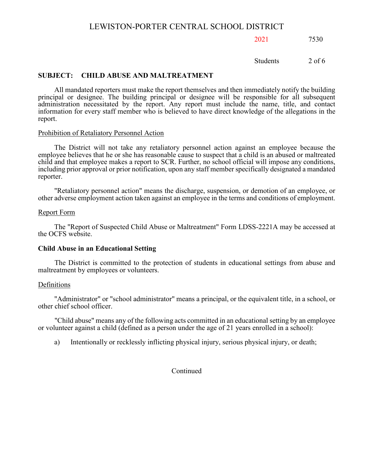## 2021 7530

Students 2 of 6

#### **SUBJECT: CHILD ABUSE AND MALTREATMENT**

All mandated reporters must make the report themselves and then immediately notify the building principal or designee. The building principal or designee will be responsible for all subsequent administration necessitated by the report. Any report must include the name, title, and contact information for every staff member who is believed to have direct knowledge of the allegations in the report.

#### Prohibition of Retaliatory Personnel Action

The District will not take any retaliatory personnel action against an employee because the employee believes that he or she has reasonable cause to suspect that a child is an abused or maltreated child and that employee makes a report to SCR. Further, no school official will impose any conditions, including prior approval or prior notification, upon any staff member specifically designated a mandated reporter.

"Retaliatory personnel action" means the discharge, suspension, or demotion of an employee, or other adverse employment action taken against an employee in the terms and conditions of employment.

#### Report Form

The "Report of Suspected Child Abuse or Maltreatment" Form LDSS-2221A may be accessed at the OCFS website.

#### **Child Abuse in an Educational Setting**

The District is committed to the protection of students in educational settings from abuse and maltreatment by employees or volunteers.

#### Definitions

"Administrator" or "school administrator" means a principal, or the equivalent title, in a school, or other chief school officer.

"Child abuse" means any of the following acts committed in an educational setting by an employee or volunteer against a child (defined as a person under the age of 21 years enrolled in a school):

a) Intentionally or recklessly inflicting physical injury, serious physical injury, or death;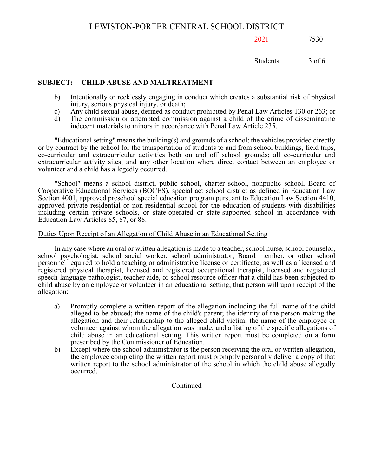## 2021 7530

Students 3 of 6

## **SUBJECT: CHILD ABUSE AND MALTREATMENT**

- b) Intentionally or recklessly engaging in conduct which creates a substantial risk of physical injury, serious physical injury, or death;
- c) Any child sexual abuse, defined as conduct prohibited by Penal Law Articles 130 or 263; or
- The commission or attempted commission against a child of the crime of disseminating indecent materials to minors in accordance with Penal Law Article 235.

"Educational setting" means the building(s) and grounds of a school; the vehicles provided directly or by contract by the school for the transportation of students to and from school buildings, field trips, co-curricular and extracurricular activities both on and off school grounds; all co-curricular and extracurricular activity sites; and any other location where direct contact between an employee or volunteer and a child has allegedly occurred.

"School" means a school district, public school, charter school, nonpublic school, Board of Cooperative Educational Services (BOCES), special act school district as defined in Education Law Section 4001, approved preschool special education program pursuant to Education Law Section 4410, approved private residential or non-residential school for the education of students with disabilities including certain private schools, or state-operated or state-supported school in accordance with Education Law Articles 85, 87, or 88.

## Duties Upon Receipt of an Allegation of Child Abuse in an Educational Setting

In any case where an oral or written allegation is made to a teacher, school nurse, school counselor, school psychologist, school social worker, school administrator, Board member, or other school personnel required to hold a teaching or administrative license or certificate, as well as a licensed and registered physical therapist, licensed and registered occupational therapist, licensed and registered speech-language pathologist, teacher aide, or school resource officer that a child has been subjected to child abuse by an employee or volunteer in an educational setting, that person will upon receipt of the allegation:

- a) Promptly complete a written report of the allegation including the full name of the child alleged to be abused; the name of the child's parent; the identity of the person making the allegation and their relationship to the alleged child victim; the name of the employee or volunteer against whom the allegation was made; and a listing of the specific allegations of child abuse in an educational setting. This written report must be completed on a form prescribed by the Commissioner of Education.
- b) Except where the school administrator is the person receiving the oral or written allegation, the employee completing the written report must promptly personally deliver a copy of that written report to the school administrator of the school in which the child abuse allegedly occurred.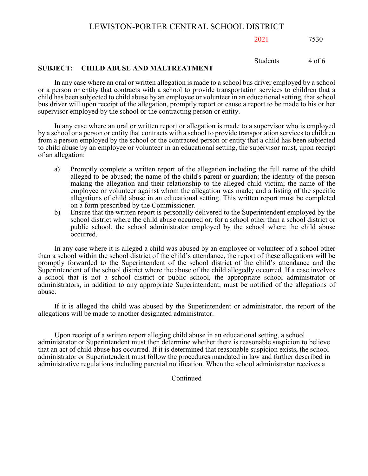2021 7530

Students 4 of 6

## **SUBJECT: CHILD ABUSE AND MALTREATMENT**

In any case where an oral or written allegation is made to a school bus driver employed by a school or a person or entity that contracts with a school to provide transportation services to children that a child has been subjected to child abuse by an employee or volunteer in an educational setting, that school bus driver will upon receipt of the allegation, promptly report or cause a report to be made to his or her supervisor employed by the school or the contracting person or entity.

In any case where an oral or written report or allegation is made to a supervisor who is employed by a school or a person or entity that contracts with a school to provide transportation services to children from a person employed by the school or the contracted person or entity that a child has been subjected to child abuse by an employee or volunteer in an educational setting, the supervisor must, upon receipt of an allegation:

- a) Promptly complete a written report of the allegation including the full name of the child alleged to be abused; the name of the child's parent or guardian; the identity of the person making the allegation and their relationship to the alleged child victim; the name of the employee or volunteer against whom the allegation was made; and a listing of the specific allegations of child abuse in an educational setting. This written report must be completed on a form prescribed by the Commissioner.
- b) Ensure that the written report is personally delivered to the Superintendent employed by the school district where the child abuse occurred or, for a school other than a school district or public school, the school administrator employed by the school where the child abuse occurred.

In any case where it is alleged a child was abused by an employee or volunteer of a school other than a school within the school district of the child's attendance, the report of these allegations will be promptly forwarded to the Superintendent of the school district of the child's attendance and the Superintendent of the school district where the abuse of the child allegedly occurred. If a case involves a school that is not a school district or public school, the appropriate school administrator or administrators, in addition to any appropriate Superintendent, must be notified of the allegations of abuse.

If it is alleged the child was abused by the Superintendent or administrator, the report of the allegations will be made to another designated administrator.

Upon receipt of a written report alleging child abuse in an educational setting, a school administrator or Superintendent must then determine whether there is reasonable suspicion to believe that an act of child abuse has occurred. If it is determined that reasonable suspicion exists, the school administrator or Superintendent must follow the procedures mandated in law and further described in administrative regulations including parental notification. When the school administrator receives a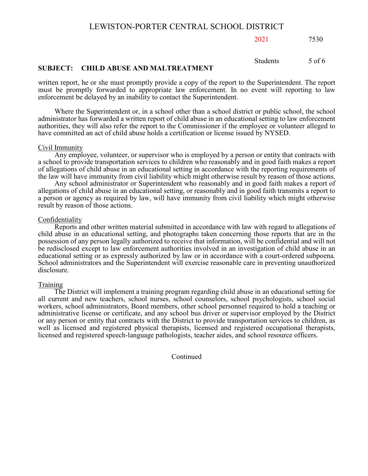2021 7530

Students 5 of 6

## **SUBJECT: CHILD ABUSE AND MALTREATMENT**

written report, he or she must promptly provide a copy of the report to the Superintendent. The report must be promptly forwarded to appropriate law enforcement. In no event will reporting to law enforcement be delayed by an inability to contact the Superintendent.

Where the Superintendent or, in a school other than a school district or public school, the school administrator has forwarded a written report of child abuse in an educational setting to law enforcement authorities, they will also refer the report to the Commissioner if the employee or volunteer alleged to have committed an act of child abuse holds a certification or license issued by NYSED.

#### Civil Immunity

Any employee, volunteer, or supervisor who is employed by a person or entity that contracts with a school to provide transportation services to children who reasonably and in good faith makes a report of allegations of child abuse in an educational setting in accordance with the reporting requirements of the law will have immunity from civil liability which might otherwise result by reason of those actions.

Any school administrator or Superintendent who reasonably and in good faith makes a report of allegations of child abuse in an educational setting, or reasonably and in good faith transmits a report to a person or agency as required by law, will have immunity from civil liability which might otherwise result by reason of those actions.

#### Confidentiality

Reports and other written material submitted in accordance with law with regard to allegations of child abuse in an educational setting, and photographs taken concerning those reports that are in the possession of any person legally authorized to receive that information, will be confidential and will not be redisclosed except to law enforcement authorities involved in an investigation of child abuse in an educational setting or as expressly authorized by law or in accordance with a court-ordered subpoena. School administrators and the Superintendent will exercise reasonable care in preventing unauthorized disclosure.

#### Training

The District will implement a training program regarding child abuse in an educational setting for all current and new teachers, school nurses, school counselors, school psychologists, school social workers, school administrators, Board members, other school personnel required to hold a teaching or administrative license or certificate, and any school bus driver or supervisor employed by the District or any person or entity that contracts with the District to provide transportation services to children, as well as licensed and registered physical therapists, licensed and registered occupational therapists, licensed and registered speech-language pathologists, teacher aides, and school resource officers.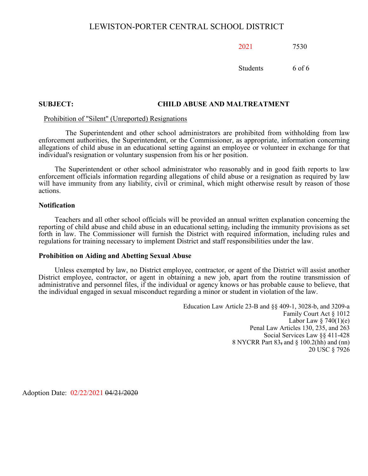2021 7530

Students 6 of 6

#### **SUBJECT: CHILD ABUSE AND MALTREATMENT**

## Prohibition of "Silent" (Unreported) Resignations

The Superintendent and other school administrators are prohibited from withholding from law enforcement authorities, the Superintendent, or the Commissioner, as appropriate, information concerning allegations of child abuse in an educational setting against an employee or volunteer in exchange for that individual's resignation or voluntary suspension from his or her position.

The Superintendent or other school administrator who reasonably and in good faith reports to law enforcement officials information regarding allegations of child abuse or a resignation as required by law will have immunity from any liability, civil or criminal, which might otherwise result by reason of those actions.

#### **Notification**

Teachers and all other school officials will be provided an annual written explanation concerning the reporting of child abuse and child abuse in an educational setting, including the immunity provisions as set forth in law. The Commissioner will furnish the District with required information, including rules and regulations for training necessary to implement District and staff responsibilities under the law.

#### **Prohibition on Aiding and Abetting Sexual Abuse**

Unless exempted by law, no District employee, contractor, or agent of the District will assist another District employee, contractor, or agent in obtaining a new job, apart from the routine transmission of administrative and personnel files, if the individual or agency knows or has probable cause to believe, that the individual engaged in sexual misconduct regarding a minor or student in violation of the law.

> Education Law Article 23-B and §§ 409-1, 3028-b, and 3209-a Family Court Act § 1012 Labor Law  $§$  740(1)(e) Penal Law Articles 130, 235, and 263 Social Services Law §§ 411-428 8 NYCRR Part 83, and § 100.2(hh) and (nn) 20 USC § 7926

Adoption Date: 02/22/2021 04/21/2020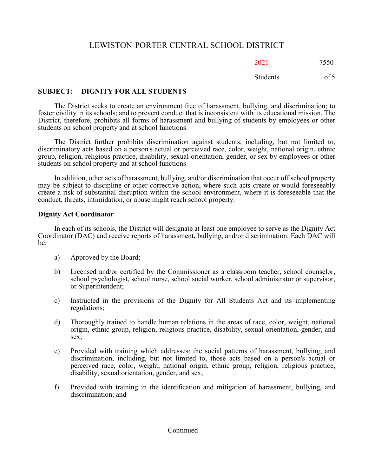## 20217550

Students 1 of 5

## **SUBJECT: DIGNITY FOR ALL STUDENTS**

The District seeks to create an environment free of harassment, bullying, and discrimination; to foster civility in its schools; and to prevent conduct that is inconsistent with its educational mission. The District, therefore, prohibits all forms of harassment and bullying of students by employees or other students on school property and at school functions.

The District further prohibits discrimination against students, including, but not limited to, discriminatory acts based on a person's actual or perceived race, color, weight, national origin, ethnic group, religion, religious practice, disability, sexual orientation, gender, or sex by employees or other students on school property and at school functions

In addition, other acts of harassment, bullying, and/or discrimination that occur off school property may be subject to discipline or other corrective action, where such acts create or would foreseeably create a risk of substantial disruption within the school environment, where it is foreseeable that the conduct, threats, intimidation, or abuse might reach school property.

## **Dignity Act Coordinator**

In each of its schools, the District will designate at least one employee to serve as the Dignity Act Coordinator (DAC) and receive reports of harassment, bullying, and/or discrimination. Each DAC will be:

- a) Approved by the Board;
- b) Licensed and/or certified by the Commissioner as a classroom teacher, school counselor, school psychologist, school nurse, school social worker, school administrator or supervisor, or Superintendent;
- c) Instructed in the provisions of the Dignity for All Students Act and its implementing regulations;
- d) Thoroughly trained to handle human relations in the areas of race, color, weight, national origin, ethnic group, religion, religious practice, disability, sexual orientation, gender, and sex;
- e) Provided with training which addresses: the social patterns of harassment, bullying, and discrimination, including, but not limited to, those acts based on a person's actual or perceived race, color, weight, national origin, ethnic group, religion, religious practice, disability, sexual orientation, gender, and sex;
- f) Provided with training in the identification and mitigation of harassment, bullying, and discrimination; and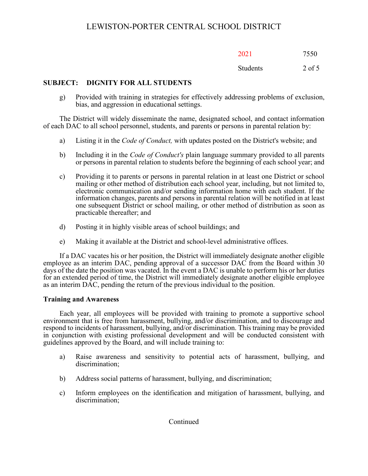| 2021 | 7550 |
|------|------|
|      |      |

## Students 2 of 5

## **SUBJECT: DIGNITY FOR ALL STUDENTS**

g) Provided with training in strategies for effectively addressing problems of exclusion, bias, and aggression in educational settings.

The District will widely disseminate the name, designated school, and contact information of each DAC to all school personnel, students, and parents or persons in parental relation by:

- a) Listing it in the *Code of Conduct,* with updates posted on the District's website; and
- b) Including it in the *Code of Conduct's* plain language summary provided to all parents or persons in parental relation to students before the beginning of each school year; and
- c) Providing it to parents or persons in parental relation in at least one District or school mailing or other method of distribution each school year, including, but not limited to, electronic communication and/or sending information home with each student. If the information changes, parents and persons in parental relation will be notified in at least one subsequent District or school mailing, or other method of distribution as soon as practicable thereafter; and
- d) Posting it in highly visible areas of school buildings; and
- e) Making it available at the District and school-level administrative offices.

If a DAC vacates his or her position, the District will immediately designate another eligible employee as an interim DAC, pending approval of a successor DAC from the Board within 30 days of the date the position was vacated. In the event a DAC is unable to perform his or her duties for an extended period of time, the District will immediately designate another eligible employee as an interim DAC, pending the return of the previous individual to the position.

## **Training and Awareness**

Each year, all employees will be provided with training to promote a supportive school environment that is free from harassment, bullying, and/or discrimination, and to discourage and respond to incidents of harassment, bullying, and/or discrimination. This training may be provided in conjunction with existing professional development and will be conducted consistent with guidelines approved by the Board, and will include training to:

- a) Raise awareness and sensitivity to potential acts of harassment, bullying, and discrimination;
- b) Address social patterns of harassment, bullying, and discrimination;
- c) Inform employees on the identification and mitigation of harassment, bullying, and discrimination;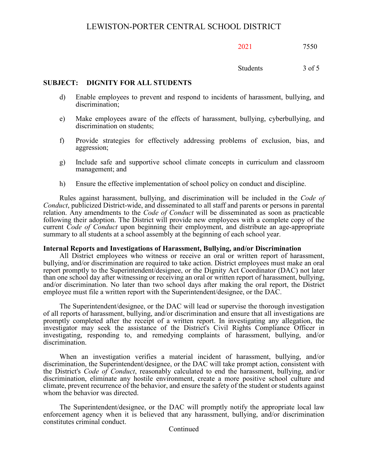Students 3 of 5

## **SUBJECT: DIGNITY FOR ALL STUDENTS**

- d) Enable employees to prevent and respond to incidents of harassment, bullying, and discrimination;
- e) Make employees aware of the effects of harassment, bullying, cyberbullying, and discrimination on students;
- f) Provide strategies for effectively addressing problems of exclusion, bias, and aggression;
- g) Include safe and supportive school climate concepts in curriculum and classroom management; and
- h) Ensure the effective implementation of school policy on conduct and discipline.

Rules against harassment, bullying, and discrimination will be included in the *Code of Conduct*, publicized District-wide, and disseminated to all staff and parents or persons in parental relation. Any amendments to the *Code of Conduct* will be disseminated as soon as practicable following their adoption. The District will provide new employees with a complete copy of the current *Code of Conduct* upon beginning their employment, and distribute an age-appropriate summary to all students at a school assembly at the beginning of each school year.

## **Internal Reports and Investigations of Harassment, Bullying, and/or Discrimination**

All District employees who witness or receive an oral or written report of harassment, bullying, and/or discrimination are required to take action. District employees must make an oral report promptly to the Superintendent/designee, or the Dignity Act Coordinator (DAC) not later than one school day after witnessing or receiving an oral or written report of harassment, bullying, and/or discrimination. No later than two school days after making the oral report, the District employee must file a written report with the Superintendent/designee, or the DAC.

The Superintendent/designee, or the DAC will lead or supervise the thorough investigation of all reports of harassment, bullying, and/or discrimination and ensure that all investigations are promptly completed after the receipt of a written report. In investigating any allegation, the investigator may seek the assistance of the District's Civil Rights Compliance Officer in investigating, responding to, and remedying complaints of harassment, bullying, and/or discrimination.

When an investigation verifies a material incident of harassment, bullying, and/or discrimination, the Superintendent/designee, or the DAC will take prompt action, consistent with the District's *Code of Conduct*, reasonably calculated to end the harassment, bullying, and/or discrimination, eliminate any hostile environment, create a more positive school culture and climate, prevent recurrence of the behavior, and ensure the safety of the student or students against whom the behavior was directed.

The Superintendent/designee, or the DAC will promptly notify the appropriate local law enforcement agency when it is believed that any harassment, bullying, and/or discrimination constitutes criminal conduct.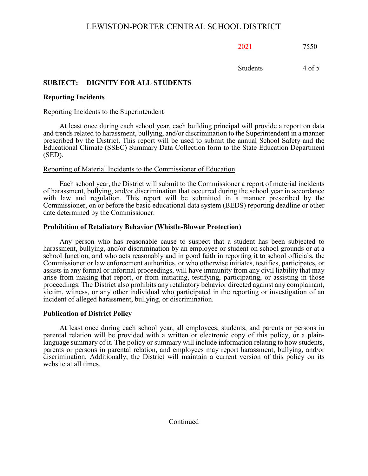2021 7550

Students 4 of 5

## **SUBJECT: DIGNITY FOR ALL STUDENTS**

## **Reporting Incidents**

## Reporting Incidents to the Superintendent

At least once during each school year, each building principal will provide a report on data and trends related to harassment, bullying, and/or discrimination to the Superintendent in a manner prescribed by the District. This report will be used to submit the annual School Safety and the Educational Climate (SSEC) Summary Data Collection form to the State Education Department (SED).

## Reporting of Material Incidents to the Commissioner of Education

Each school year, the District will submit to the Commissioner a report of material incidents of harassment, bullying, and/or discrimination that occurred during the school year in accordance with law and regulation. This report will be submitted in a manner prescribed by the Commissioner, on or before the basic educational data system (BEDS) reporting deadline or other date determined by the Commissioner.

## **Prohibition of Retaliatory Behavior (Whistle-Blower Protection)**

Any person who has reasonable cause to suspect that a student has been subjected to harassment, bullying, and/or discrimination by an employee or student on school grounds or at a school function, and who acts reasonably and in good faith in reporting it to school officials, the Commissioner or law enforcement authorities, or who otherwise initiates, testifies, participates, or assists in any formal or informal proceedings, will have immunity from any civil liability that may arise from making that report, or from initiating, testifying, participating, or assisting in those proceedings. The District also prohibits any retaliatory behavior directed against any complainant, victim, witness, or any other individual who participated in the reporting or investigation of an incident of alleged harassment, bullying, or discrimination.

## **Publication of District Policy**

At least once during each school year, all employees, students, and parents or persons in parental relation will be provided with a written or electronic copy of this policy, or a plain- language summary of it. The policy or summary will include information relating to how students, parents or persons in parental relation, and employees may report harassment, bullying, and/or discrimination. Additionally, the District will maintain a current version of this policy on its website at all times.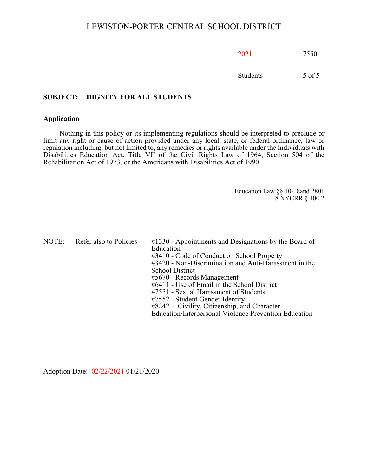| 2021<br>7550 |  |
|--------------|--|
|              |  |

Students 5 of 5

## **SUBJECT: DIGNITY FOR ALL STUDENTS**

#### **Application**

Nothing in this policy or its implementing regulations should be interpreted to preclude or limit any right or cause of action provided under any local, state, or federal ordinance, law or regulation including, but not limited to, any remedies or rights available under the Individuals with Disabilities Education Act, Title VII of the Civil Rights Law of 1964, Section 504 of the Rehabilitation Act of 1973, or the Americans with Disabilities Act of 1990.

> Education Law §§ 10-18and 2801 8 NYCRR § 100.2

NOTE: Refer also to Policies #1330 - Appointments and Designations by the Board of Education #3410 - Code of Conduct on School Property #3420 - Non-Discrimination and Anti-Harassment in the School District #5670 - Records Management #6411 - Use of Email in the School District #7551 - Sexual Harassment of Students #7552 - Student Gender Identity #8242 -- Civility, Citizenship, and Character Education/Interpersonal Violence Prevention Education

Adoption Date: 02/22/2021 01/21/2020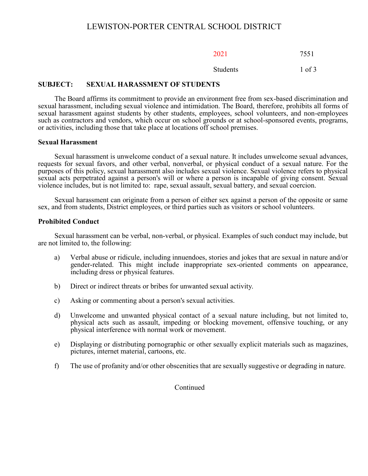| 2021 | 7551 |
|------|------|
|------|------|

#### Students 1 of 3

## **SUBJECT: SEXUAL HARASSMENT OF STUDENTS**

The Board affirms its commitment to provide an environment free from sex-based discrimination and sexual harassment, including sexual violence and intimidation. The Board, therefore, prohibits all forms of sexual harassment against students by other students, employees, school volunteers, and non-employees such as contractors and vendors, which occur on school grounds or at school-sponsored events, programs, or activities, including those that take place at locations off school premises.

#### **Sexual Harassment**

Sexual harassment is unwelcome conduct of a sexual nature. It includes unwelcome sexual advances, requests for sexual favors, and other verbal, nonverbal, or physical conduct of a sexual nature. For the purposes of this policy, sexual harassment also includes sexual violence. Sexual violence refers to physical sexual acts perpetrated against a person's will or where a person is incapable of giving consent. Sexual violence includes, but is not limited to: rape, sexual assault, sexual battery, and sexual coercion.

Sexual harassment can originate from a person of either sex against a person of the opposite or same sex, and from students, District employees, or third parties such as visitors or school volunteers.

## **Prohibited Conduct**

Sexual harassment can be verbal, non-verbal, or physical. Examples of such conduct may include, but are not limited to, the following:

- a) Verbal abuse or ridicule, including innuendoes, stories and jokes that are sexual in nature and/or gender-related. This might include inappropriate sex-oriented comments on appearance, including dress or physical features.
- b) Direct or indirect threats or bribes for unwanted sexual activity.
- c) Asking or commenting about a person's sexual activities.
- d) Unwelcome and unwanted physical contact of a sexual nature including, but not limited to, physical acts such as assault, impeding or blocking movement, offensive touching, or any physical interference with normal work or movement.
- e) Displaying or distributing pornographic or other sexually explicit materials such as magazines, pictures, internet material, cartoons, etc.
- f) The use of profanity and/or other obscenities that are sexually suggestive or degrading in nature.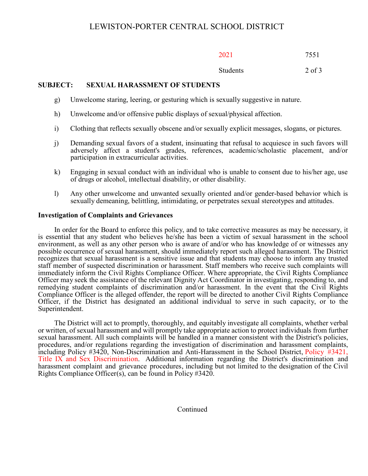| 2021 | 7551 |
|------|------|
|------|------|

## Students 2 of 3

## **SUBJECT: SEXUAL HARASSMENT OF STUDENTS**

- g) Unwelcome staring, leering, or gesturing which is sexually suggestive in nature.
- h) Unwelcome and/or offensive public displays of sexual/physical affection.
- i) Clothing that reflects sexually obscene and/or sexually explicit messages, slogans, or pictures.
- j) Demanding sexual favors of a student, insinuating that refusal to acquiesce in such favors will adversely affect a student's grades, references, academic/scholastic placement, and/or participation in extracurricular activities.
- k) Engaging in sexual conduct with an individual who is unable to consent due to his/her age, use of drugs or alcohol, intellectual disability, or other disability.
- l) Any other unwelcome and unwanted sexually oriented and/or gender-based behavior which is sexually demeaning, belittling, intimidating, or perpetrates sexual stereotypes and attitudes.

## **Investigation of Complaints and Grievances**

In order for the Board to enforce this policy, and to take corrective measures as may be necessary, it is essential that any student who believes he/she has been a victim of sexual harassment in the school environment, as well as any other person who is aware of and/or who has knowledge of or witnesses any possible occurrence of sexual harassment, should immediately report such alleged harassment. The District recognizes that sexual harassment is a sensitive issue and that students may choose to inform any trusted staff member of suspected discrimination or harassment. Staff members who receive such complaints will immediately inform the Civil Rights Compliance Officer. Where appropriate, the Civil Rights Compliance Officer may seek the assistance of the relevant Dignity Act Coordinator in investigating, responding to, and remedying student complaints of discrimination and/or harassment. In the event that the Civil Rights Compliance Officer is the alleged offender, the report will be directed to another Civil Rights Compliance Officer, if the District has designated an additional individual to serve in such capacity, or to the Superintendent.

The District will act to promptly, thoroughly, and equitably investigate all complaints, whether verbal or written, of sexual harassment and will promptly take appropriate action to protect individuals from further sexual harassment. All such complaints will be handled in a manner consistent with the District's policies, procedures, and/or regulations regarding the investigation of discrimination and harassment complaints, including Policy #3420, Non-Discrimination and Anti-Harassment in the School District, Policy #3421, Title IX and Sex Discrimination. Additional information regarding the District's discrimination and harassment complaint and grievance procedures, including but not limited to the designation of the Civil Rights Compliance Officer(s), can be found in Policy  $\#3420$ .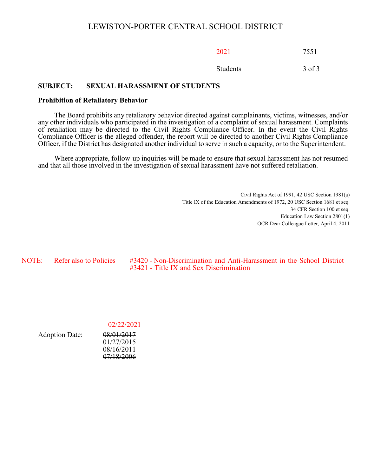2021 7551

Students 3 of 3

## **SUBJECT: SEXUAL HARASSMENT OF STUDENTS**

#### **Prohibition of Retaliatory Behavior**

The Board prohibits any retaliatory behavior directed against complainants, victims, witnesses, and/or any other individuals who participated in the investigation of a complaint of sexual harassment. Complaints of retaliation may be directed to the Civil Rights Compliance Officer. In the event the Civil Rights Compliance Officer is the alleged offender, the report will be directed to another Civil Rights Compliance Officer, if the District has designated another individual to serve in such a capacity, or to the Superintendent.

Where appropriate, follow-up inquiries will be made to ensure that sexual harassment has not resumed and that all those involved in the investigation of sexual harassment have not suffered retaliation.

> Civil Rights Act of 1991, 42 USC Section 1981(a) Title IX of the Education Amendments of 1972, 20 USC Section 1681 et seq. 34 CFR Section 100 et seq. Education Law Section 2801(1) OCR Dear Colleague Letter, April 4, 2011

NOTE: Refer also to Policies #3420 - Non-Discrimination and Anti-Harassment in the School District #3421 - Title IX and Sex Discrimination

02/22/2021

| <b>Adoption Date:</b> | 08/01/2017 |
|-----------------------|------------|
|                       | 01/27/2015 |
|                       | 08/16/2011 |
|                       | 07/18/2006 |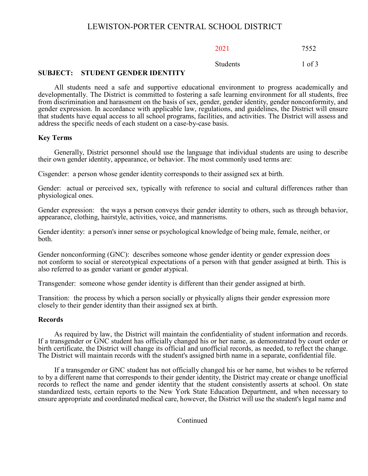## 2021 7552

Students 1 of 3

## **SUBJECT: STUDENT GENDER IDENTITY**

All students need a safe and supportive educational environment to progress academically and developmentally. The District is committed to fostering a safe learning environment for all students, free from discrimination and harassment on the basis of sex, gender, gender identity, gender nonconformity, and gender expression. In accordance with applicable law, regulations, and guidelines, the District will ensure that students have equal access to all school programs, facilities, and activities. The District will assess and address the specific needs of each student on a case-by-case basis.

## **Key Terms**

Generally, District personnel should use the language that individual students are using to describe their own gender identity, appearance, or behavior. The most commonly used terms are:

Cisgender: a person whose gender identity corresponds to their assigned sex at birth.

Gender: actual or perceived sex, typically with reference to social and cultural differences rather than physiological ones.

Gender expression: the ways a person conveys their gender identity to others, such as through behavior, appearance, clothing, hairstyle, activities, voice, and mannerisms.

Gender identity: a person's inner sense or psychological knowledge of being male, female, neither, or both.

Gender nonconforming (GNC): describes someone whose gender identity or gender expression does not conform to social or stereotypical expectations of a person with that gender assigned at birth. This is also referred to as gender variant or gender atypical.

Transgender: someone whose gender identity is different than their gender assigned at birth.

Transition: the process by which a person socially or physically aligns their gender expression more closely to their gender identity than their assigned sex at birth.

## **Records**

As required by law, the District will maintain the confidentiality of student information and records. If a transgender or GNC student has officially changed his or her name, as demonstrated by court order or birth certificate, the District will change its official and unofficial records, as needed, to reflect the change. The District will maintain records with the student's assigned birth name in a separate, confidential file.

If a transgender or GNC student has not officially changed his or her name, but wishes to be referred to by a different name that corresponds to their gender identity, the District may create or change unofficial records to reflect the name and gender identity that the student consistently asserts at school. On state standardized tests, certain reports to the New York State Education Department, and when necessary to ensure appropriate and coordinated medical care, however, the District will use the student's legal name and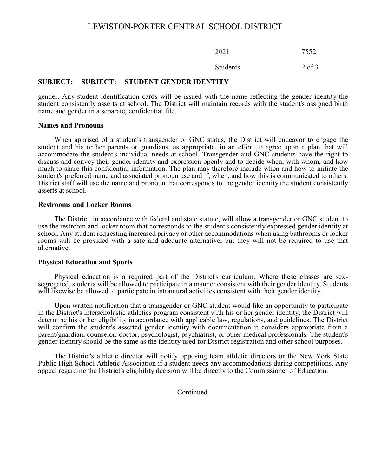| 2021 | 7552 |
|------|------|
|------|------|

#### Students 2 of 3

#### **SUBJECT: SUBJECT: STUDENT GENDER IDENTITY**

gender. Any student identification cards will be issued with the name reflecting the gender identity the student consistently asserts at school. The District will maintain records with the student's assigned birth name and gender in a separate, confidential file.

#### **Names and Pronouns**

When apprised of a student's transgender or GNC status, the District will endeavor to engage the student and his or her parents or guardians, as appropriate, in an effort to agree upon a plan that will accommodate the student's individual needs at school. Transgender and GNC students have the right to discuss and convey their gender identity and expression openly and to decide when, with whom, and how much to share this confidential information. The plan may therefore include when and how to initiate the student's preferred name and associated pronoun use and if, when, and how this is communicated to others. District staff will use the name and pronoun that corresponds to the gender identity the student consistently asserts at school.

#### **Restrooms and Locker Rooms**

The District, in accordance with federal and state statute, will allow a transgender or GNC student to use the restroom and locker room that corresponds to the student's consistently expressed gender identity at school. Any student requesting increased privacy or other accommodations when using bathrooms or locker rooms will be provided with a safe and adequate alternative, but they will not be required to use that alternative.

#### **Physical Education and Sports**

Physical education is a required part of the District's curriculum. Where these classes are sexsegregated, students will be allowed to participate in a manner consistent with their gender identity. Students will likewise be allowed to participate in intramural activities consistent with their gender identity.

Upon written notification that a transgender or GNC student would like an opportunity to participate in the District's interscholastic athletics program consistent with his or her gender identity, the District will determine his or her eligibility in accordance with applicable law, regulations, and guidelines. The District will confirm the student's asserted gender identity with documentation it considers appropriate from a parent/guardian, counselor, doctor, psychologist, psychiatrist, or other medical professionals. The student's gender identity should be the same as the identity used for District registration and other school purposes.

The District's athletic director will notify opposing team athletic directors or the New York State Public High School Athletic Association if a student needs any accommodations during competitions. Any appeal regarding the District's eligibility decision will be directly to the Commissioner of Education.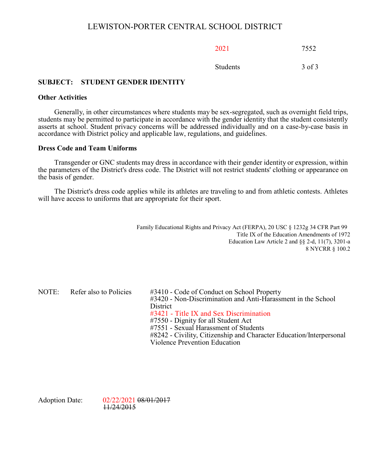2021 7552

Students 3 of 3

## **SUBJECT: STUDENT GENDER IDENTITY**

## **Other Activities**

Generally, in other circumstances where students may be sex-segregated, such as overnight field trips, students may be permitted to participate in accordance with the gender identity that the student consistently asserts at school. Student privacy concerns will be addressed individually and on a case-by-case basis in accordance with District policy and applicable law, regulations, and guidelines.

#### **Dress Code and Team Uniforms**

Transgender or GNC students may dress in accordance with their gender identity or expression, within the parameters of the District's dress code. The District will not restrict students' clothing or appearance on the basis of gender.

The District's dress code applies while its athletes are traveling to and from athletic contests. Athletes will have access to uniforms that are appropriate for their sport.

> Family Educational Rights and Privacy Act (FERPA), 20 USC § 1232g 34 CFR Part 99 Title IX of the Education Amendments of 1972 Education Law Article 2 and §§ 2-d, 11(7), 3201-a 8 NYCRR § 100.2

NOTE: Refer also to Policies #3410 - Code of Conduct on School Property #3420 - Non-Discrimination and Anti-Harassment in the School **District** #3421 - Title IX and Sex Discrimination #7550 - Dignity for all Student Act #7551 - Sexual Harassment of Students #8242 - Civility, Citizenship and Character Education/Interpersonal Violence Prevention Education

Adoption Date: 02/22/2021 08/01/2017 11/24/2015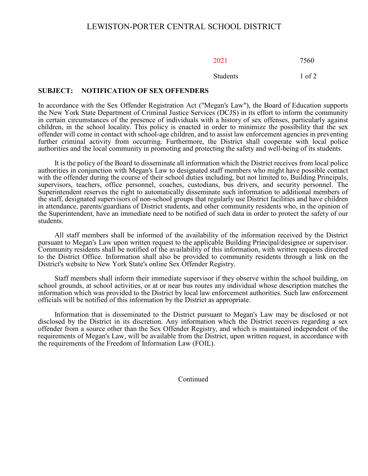Students 1 of 2

#### **SUBJECT: NOTIFICATION OF SEX OFFENDERS**

In accordance with the Sex Offender Registration Act ("Megan's Law"), the Board of Education supports the New York State Department of Criminal Justice Services (DCJS) in its effort to inform the community in certain circumstances of the presence of individuals with a history of sex offenses, particularly against children, in the school locality. This policy is enacted in order to minimize the possibility that the sex offender will come in contact with school-age children, and to assist law enforcement agencies in preventing further criminal activity from occurring. Furthermore, the District shall cooperate with local police authorities and the local community in promoting and protecting the safety and well-being of its students.

It is the policy of the Board to disseminate all information which the District receives from local police authorities in conjunction with Megan's Law to designated staff members who might have possible contact with the offender during the course of their school duties including, but not limited to, Building Principals, supervisors, teachers, office personnel, coaches, custodians, bus drivers, and security personnel. The Superintendent reserves the right to automatically disseminate such information to additional members of the staff, designated supervisors of non-school groups that regularly use District facilities and have children in attendance, parents/guardians of District students, and other community residents who, in the opinion of the Superintendent, have an immediate need to be notified of such data in order to protect the safety of our students.

All staff members shall be informed of the availability of the information received by the District pursuant to Megan's Law upon written request to the applicable Building Principal/designee or supervisor. Community residents shall be notified of the availability of this information, with written requests directed to the District Office. Information shall also be provided to community residents through a link on the District's website to New York State's online Sex Offender Registry.

Staff members shall inform their immediate supervisor if they observe within the school building, on school grounds, at school activities, or at or near bus routes any individual whose description matches the information which was provided to the District by local law enforcement authorities. Such law enforcement officials will be notified of this information by the District as appropriate.

Information that is disseminated to the District pursuant to Megan's Law may be disclosed or not disclosed by the District in its discretion. Any information which the District receives regarding a sex offender from a source other than the Sex Offender Registry, and which is maintained independent of the requirements of Megan's Law, will be available from the District, upon written request, in accordance with the requirements of the Freedom of Information Law (FOIL).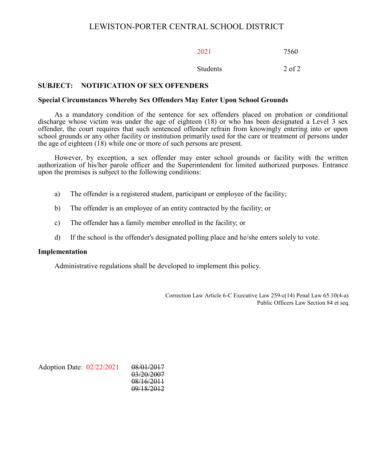# LEWISTON-PORTER CENTRAL SCHOOL DISTRICT

2021 7560

Students 2 of 2

# **SUBJECT: NOTIFICATION OF SEX OFFENDERS**

#### **Special Circumstances Whereby Sex Offenders May Enter Upon School Grounds**

As a mandatory condition of the sentence for sex offenders placed on probation or conditional discharge whose victim was under the age of eighteen (18) or who has been designated a Level 3 sex offender, the court requires that such sentenced offender refrain from knowingly entering into or upon school grounds or any other facility or institution primarily used for the care or treatment of persons under the age of eighteen (18) while one or more of such persons are present.

However, by exception, a sex offender may enter school grounds or facility with the written authorization of his/her parole officer and the Superintendent for limited authorized purposes. Entrance upon the premises is subject to the following conditions:

- a) The offender is a registered student, participant or employee of the facility;
- b) The offender is an employee of an entity contracted by the facility; or
- c) The offender has a family member enrolled in the facility; or
- d) If the school is the offender's designated polling place and he/she enters solely to vote.

#### **Implementation**

Administrative regulations shall be developed to implement this policy.

Correction Law Article 6-C Executive Law 259-c(14) Penal Law 65.10(4-a) Public Officers Law Section 84 et seq.

Adoption Date: 02/22/2021 08/01/2017

03/20/2007 08/16/2011 09/18/2012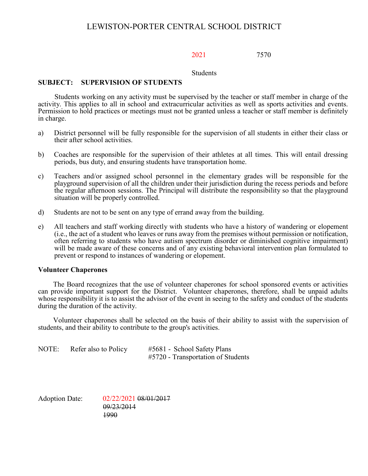# LEWISTON-PORTER CENTRAL SCHOOL DISTRICT

2021 7570

Students

## **SUBJECT: SUPERVISION OF STUDENTS**

Students working on any activity must be supervised by the teacher or staff member in charge of the activity. This applies to all in school and extracurricular activities as well as sports activities and events. Permission to hold practices or meetings must not be granted unless a teacher or staff member is definitely in charge.

- a) District personnel will be fully responsible for the supervision of all students in either their class or their after school activities.
- b) Coaches are responsible for the supervision of their athletes at all times. This will entail dressing periods, bus duty, and ensuring students have transportation home.
- c) Teachers and/or assigned school personnel in the elementary grades will be responsible for the playground supervision of all the children under their jurisdiction during the recess periods and before the regular afternoon sessions. The Principal will distribute the responsibility so that the playground situation will be properly controlled.
- d) Students are not to be sent on any type of errand away from the building.
- e) All teachers and staff working directly with students who have a history of wandering or elopement (i.e., the act of a student who leaves or runs away from the premises without permission or notification, often referring to students who have autism spectrum disorder or diminished cognitive impairment) will be made aware of these concerns and of any existing behavioral intervention plan formulated to prevent or respond to instances of wandering or elopement.

### **Volunteer Chaperones**

The Board recognizes that the use of volunteer chaperones for school sponsored events or activities can provide important support for the District. Volunteer chaperones, therefore, shall be unpaid adults whose responsibility it is to assist the advisor of the event in seeing to the safety and conduct of the students during the duration of the activity.

Volunteer chaperones shall be selected on the basis of their ability to assist with the supervision of students, and their ability to contribute to the group's activities.

| NOTE: | Refer also to Policy | #5681 - School Safety Plans        |
|-------|----------------------|------------------------------------|
|       |                      | #5720 - Transportation of Students |

Adoption Date: 02/22/2021 08/01/2017 09/23/2014 1990